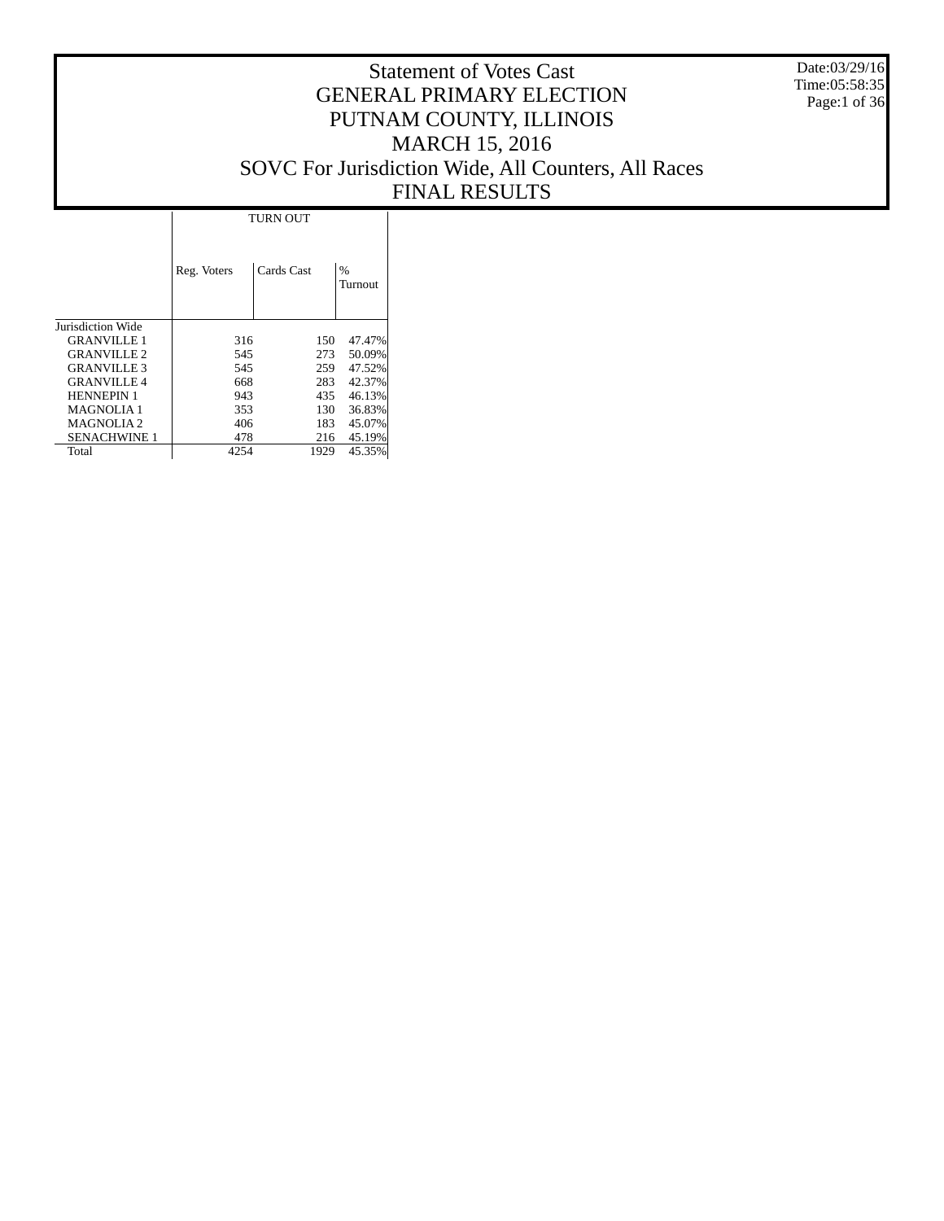Date:03/29/16 Time:05:58:35 Page:1 of 36

### Statement of Votes Cast GENERAL PRIMARY ELECTION PUTNAM COUNTY, ILLINOIS MARCH 15, 2016 SOVC For Jurisdiction Wide, All Counters, All Races FINAL RESULTS

T

|                     | <b>TURN OUT</b> |            |              |  |  |  |  |
|---------------------|-----------------|------------|--------------|--|--|--|--|
|                     | Reg. Voters     | Cards Cast | %<br>Turnout |  |  |  |  |
| Jurisdiction Wide   |                 |            |              |  |  |  |  |
| <b>GRANVILLE 1</b>  | 316             | 150        | 47.47%       |  |  |  |  |
| <b>GRANVILLE 2</b>  | 545             | 273        | 50.09%       |  |  |  |  |
| <b>GRANVILLE 3</b>  | 545             | 259        | 47.52%       |  |  |  |  |
| <b>GRANVILLE 4</b>  | 668             | 283        | 42.37%       |  |  |  |  |
| <b>HENNEPIN 1</b>   | 943             | 435        | 46.13%       |  |  |  |  |
| <b>MAGNOLIA1</b>    | 353             | 130        | 36.83%       |  |  |  |  |
| <b>MAGNOLIA2</b>    | 406             | 183        | 45.07%       |  |  |  |  |
| <b>SENACHWINE 1</b> | 478             | 216        | 45.19%       |  |  |  |  |
| Total               | 4254            | 1929       | 45.35%       |  |  |  |  |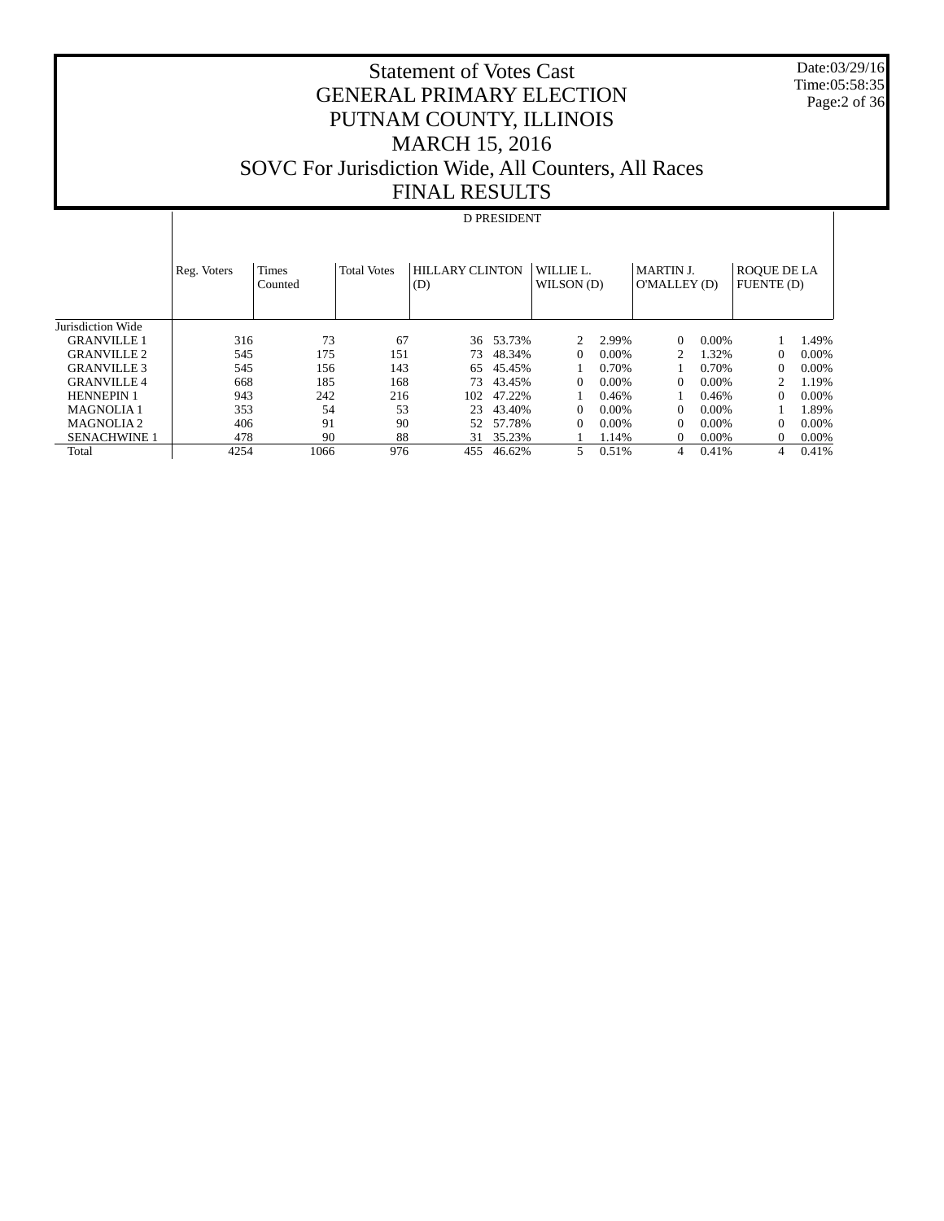Statement of Votes Cast GENERAL PRIMARY ELECTION PUTNAM COUNTY, ILLINOIS MARCH 15, 2016 SOVC For Jurisdiction Wide, All Counters, All Races FINAL RESULTS

#### Date:03/29/16 Time:05:58:35 Page:2 of 36

# D PRESIDENT

|                       | Reg. Voters | <b>Times</b><br>Counted | <b>Total Votes</b> | <b>HILLARY CLINTON</b><br>(D) |        | WILLIE L.<br>WILSON (D) |          | <b>MARTIN J.</b><br>O'MALLEY (D) |          | <b>ROQUE DE LA</b><br>FUENTE (D) |          |
|-----------------------|-------------|-------------------------|--------------------|-------------------------------|--------|-------------------------|----------|----------------------------------|----------|----------------------------------|----------|
| Jurisdiction Wide     |             |                         |                    |                               |        |                         |          |                                  |          |                                  |          |
| <b>GRANVILLE 1</b>    | 316         | 73                      | 67                 | 36                            | 53.73% | $\mathfrak{D}$          | 2.99%    | 0                                | $0.00\%$ |                                  | 1.49%    |
| <b>GRANVILLE 2</b>    | 545         | 175                     | 151                | 73                            | 48.34% | $\Omega$                | $0.00\%$ |                                  | 1.32%    | $\Omega$                         | $0.00\%$ |
| <b>GRANVILLE 3</b>    | 545         | 156                     | 143                | 65                            | 45.45% |                         | 0.70%    |                                  | 0.70%    | $\Omega$                         | $0.00\%$ |
| <b>GRANVILLE 4</b>    | 668         | 185                     | 168                | 73                            | 43.45% | $\Omega$                | $0.00\%$ | 0                                | $0.00\%$ | $\mathfrak{D}$                   | 1.19%    |
| <b>HENNEPIN 1</b>     | 943         | 242                     | 216                | 102                           | 47.22% |                         | 0.46%    |                                  | 0.46%    | 0                                | $0.00\%$ |
| <b>MAGNOLIA1</b>      | 353         | 54                      | 53                 | 23                            | 43.40% | $\Omega$                | $0.00\%$ | 0                                | 0.00%    |                                  | 1.89%    |
| MAGNOLIA <sub>2</sub> | 406         | 91                      | 90                 | 52                            | 57.78% | $\Omega$                | $0.00\%$ | 0                                | $0.00\%$ | $\Omega$                         | $0.00\%$ |
| <b>SENACHWINE 1</b>   | 478         | 90                      | 88                 | 31                            | 35.23% |                         | 1.14%    | 0                                | $0.00\%$ | $\Omega$                         | 0.00%    |
| Total                 | 4254        | 1066                    | 976                | 455                           | 46.62% | 5                       | 0.51%    | 4                                | 0.41%    | 4                                | 0.41%    |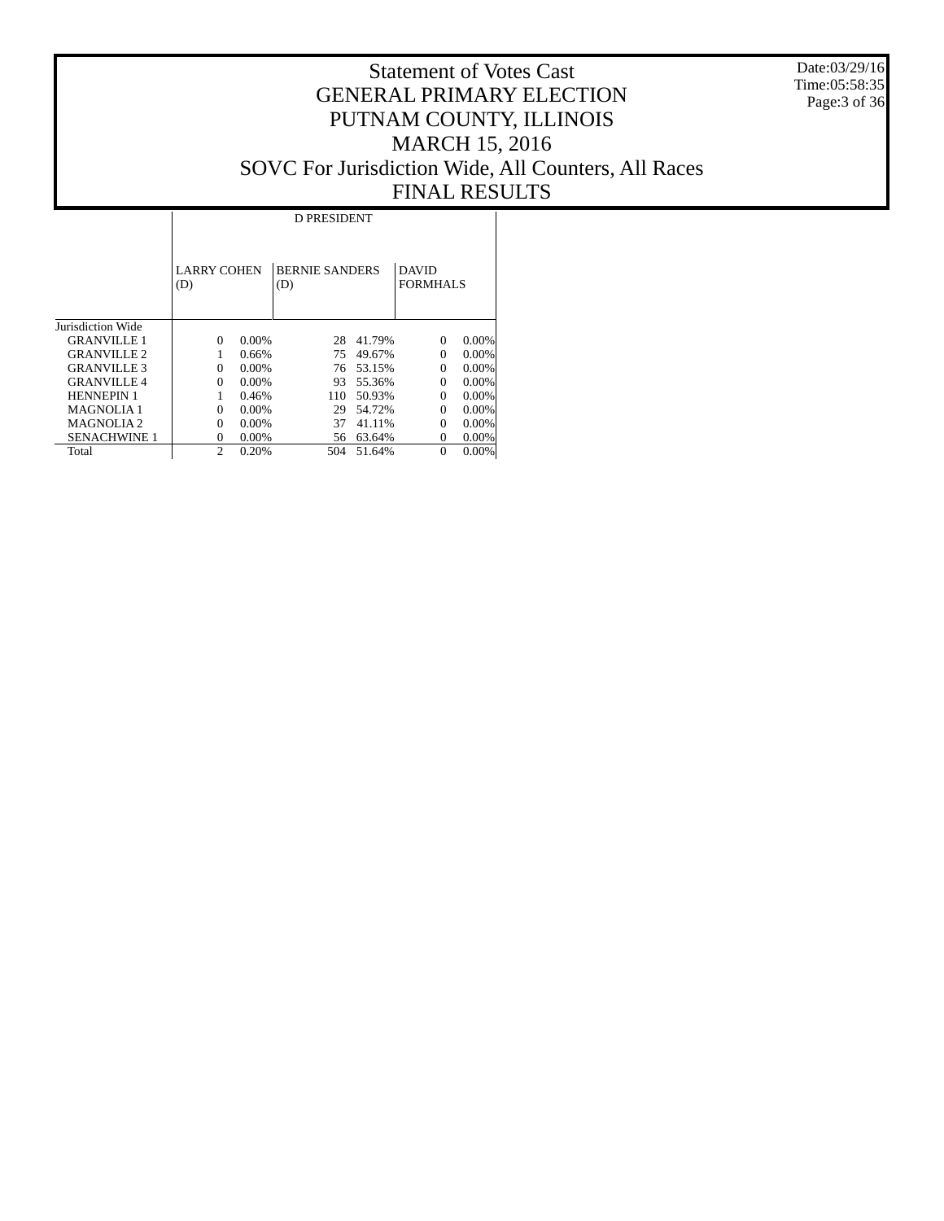Date:03/29/16 Time:05:58:35 Page: 3 of 36

|                       |                           | <b>D PRESIDENT</b> |                              |        |                                 |          |  |  |  |  |  |  |
|-----------------------|---------------------------|--------------------|------------------------------|--------|---------------------------------|----------|--|--|--|--|--|--|
|                       | <b>LARRY COHEN</b><br>(D) |                    | <b>BERNIE SANDERS</b><br>(D) |        | <b>DAVID</b><br><b>FORMHALS</b> |          |  |  |  |  |  |  |
| Jurisdiction Wide     |                           |                    |                              |        |                                 |          |  |  |  |  |  |  |
| <b>GRANVILLE 1</b>    | 0                         | $0.00\%$           | 28                           | 41.79% | $\Omega$                        | $0.00\%$ |  |  |  |  |  |  |
| <b>GRANVILLE 2</b>    | 1                         | 0.66%              | 75                           | 49.67% | 0                               | $0.00\%$ |  |  |  |  |  |  |
| <b>GRANVILLE 3</b>    | 0                         | 0.00%              | 76                           | 53.15% | $\Omega$                        | 0.00%    |  |  |  |  |  |  |
| <b>GRANVILLE 4</b>    | 0                         | 0.00%              | 93                           | 55.36% | $\Omega$                        | 0.00%    |  |  |  |  |  |  |
| <b>HENNEPIN 1</b>     |                           | 0.46%              | 110                          | 50.93% | $\Omega$                        | $0.00\%$ |  |  |  |  |  |  |
| <b>MAGNOLIA1</b>      | 0                         | 0.00%              | 29                           | 54.72% | $\Omega$                        | $0.00\%$ |  |  |  |  |  |  |
| MAGNOLIA <sub>2</sub> | 0                         | 0.00%              | 37                           | 41.11% | 0                               | $0.00\%$ |  |  |  |  |  |  |
| <b>SENACHWINE 1</b>   | 0                         | 0.00%              | 56                           | 63.64% | $\Omega$                        | 0.00%    |  |  |  |  |  |  |
| Total                 | $\overline{c}$            | 0.20%              | 504                          | 51.64% | $\theta$                        | $0.00\%$ |  |  |  |  |  |  |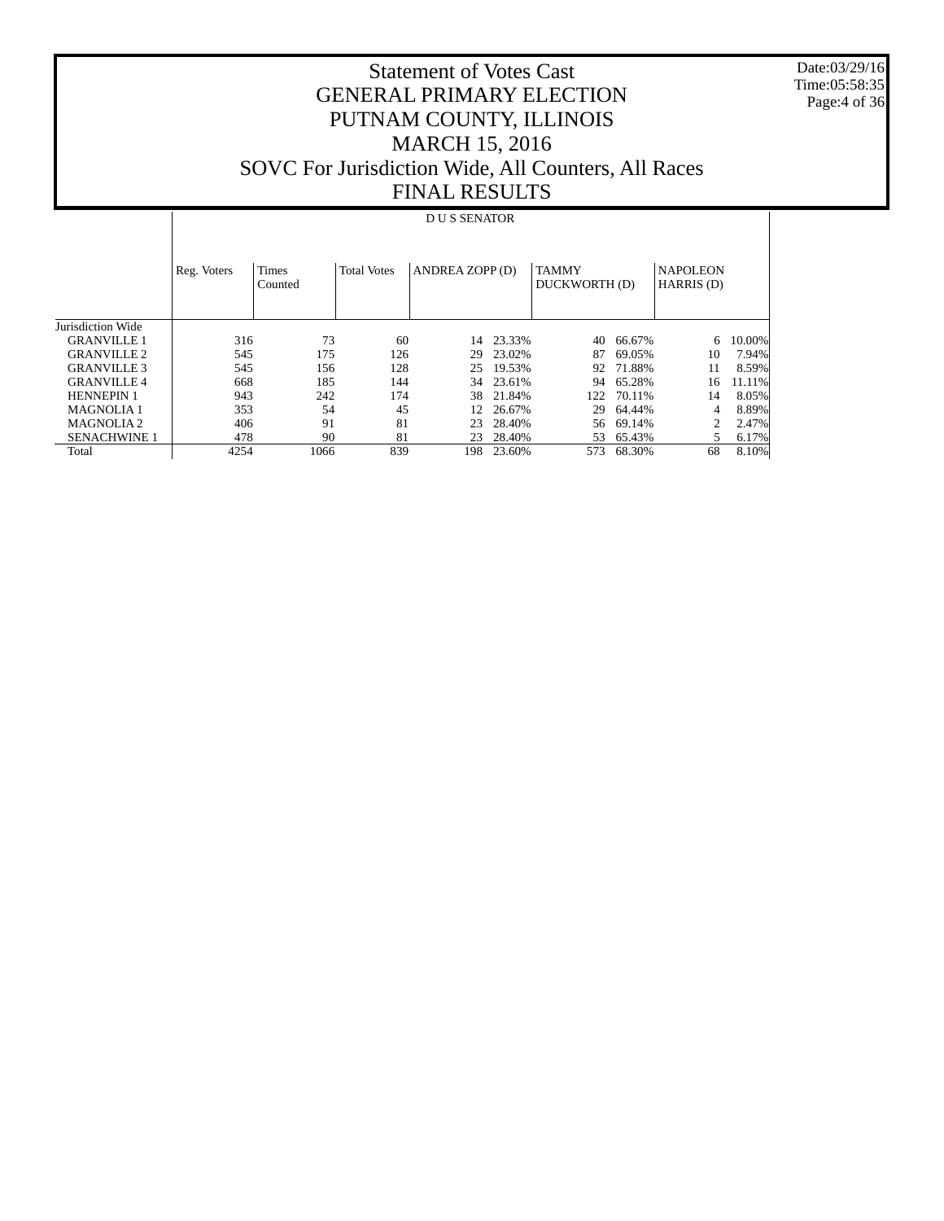Date:03/29/16 Time:05:58:35 Page:4 of 36

#### Statement of Votes Cast GENERAL PRIMARY ELECTION PUTNAM COUNTY, ILLINOIS MARCH 15, 2016 SOVC For Jurisdiction Wide, All Counters, All Races FINAL RESULTS

#### Jurisdiction Wide GRANVILLE 1 GRANVILLE 2 GRANVILLE 3 GRANVILLE 4 HENNEPIN 1 MAGNOLIA 1 MAGNOLIA 2 SENACHWINE 1 Total Reg. Voters | Times Counted Total Votes | ANDREA ZOPP (D) | TAMMY DUCKWORTH (D) NAPOLEON HARRIS (D) D U S SENATOR 316 73 60 14 23.33% 40 66.67% 6 10.00%<br>545 175 126 29 23.02% 87 69.05% 10 7.94% 545 175 126 29 23.02% 87 69.05% 10 7.94% 545 156 128 25 19.53% 92 71.88% 11 8.59% 668 185 144 34 23.61% 94 65.28% 16 11.11%  $\begin{array}{cccc} 122 & 70.11\% & & 14 & 8.05\% \\ 29 & 64.44\% & & 4 & 8.89\% \end{array}$  353 54 45 12 26.67% 29 64.44% 4 8.89% 406 91 81 23 28.40% 478 90 81 23 28.40% 478 90 81 23 28.40% 53 65.43% 5 6.17%<br>4254 1066 839 198 23.60% 573 68.30% 68 8.10% 573 68.30%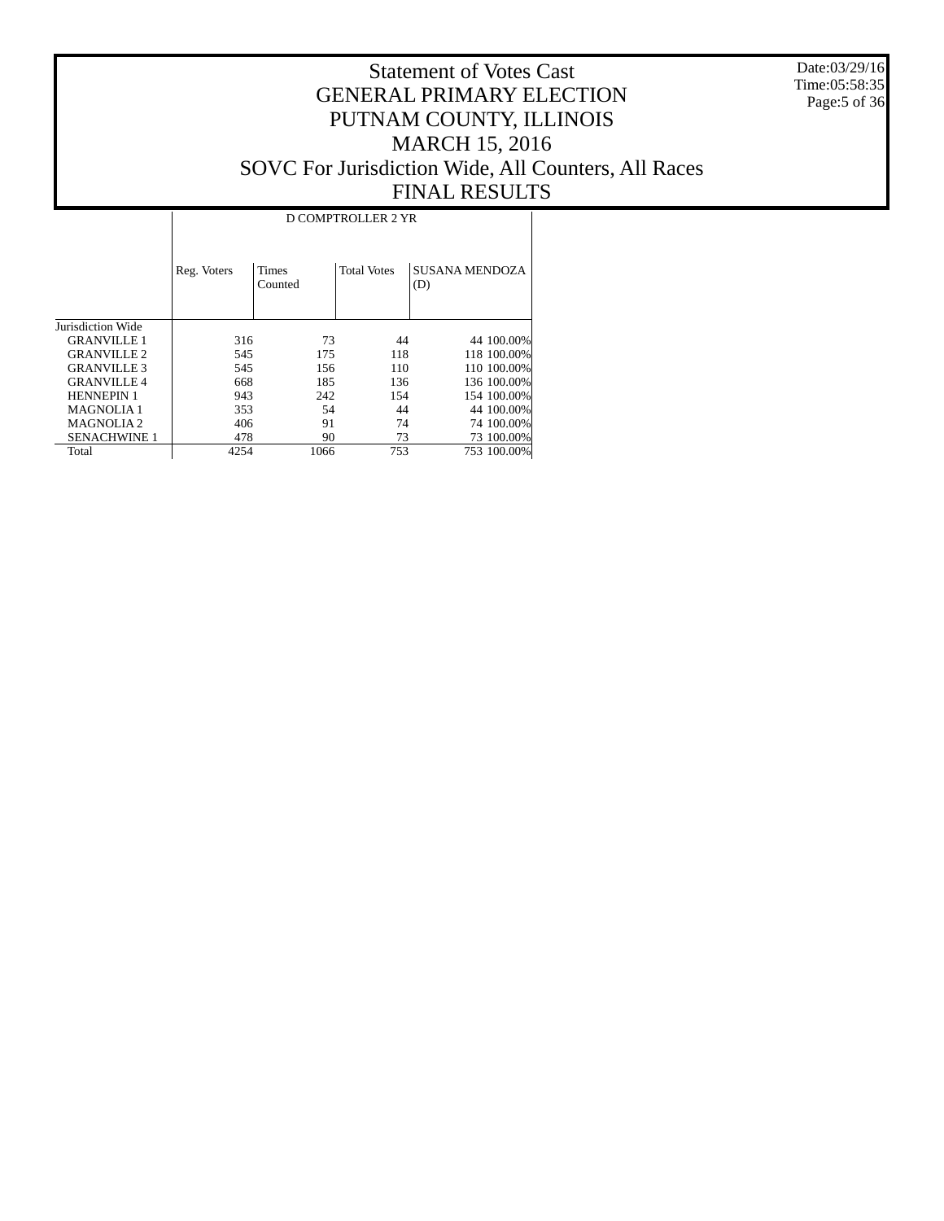Date:03/29/16 Time:05:58:35 Page:5 of 36

|                     | <b>D COMPTROLLER 2 YR</b> |                  |                    |                              |  |  |  |  |  |  |  |
|---------------------|---------------------------|------------------|--------------------|------------------------------|--|--|--|--|--|--|--|
|                     | Reg. Voters               | Times<br>Counted | <b>Total Votes</b> | <b>SUSANA MENDOZA</b><br>(D) |  |  |  |  |  |  |  |
| Jurisdiction Wide   |                           |                  |                    |                              |  |  |  |  |  |  |  |
| <b>GRANVILLE 1</b>  | 316                       | 73               | 44                 | 44 100,00%                   |  |  |  |  |  |  |  |
| <b>GRANVILLE 2</b>  | 545                       | 175              | 118                | 118 100.00%                  |  |  |  |  |  |  |  |
| <b>GRANVILLE 3</b>  | 545                       | 156              | 110                | 110 100.00%                  |  |  |  |  |  |  |  |
| <b>GRANVILLE 4</b>  | 668                       | 185              | 136                | 136 100.00%                  |  |  |  |  |  |  |  |
| <b>HENNEPIN 1</b>   | 943                       | 242              | 154                | 154 100.00%                  |  |  |  |  |  |  |  |
| <b>MAGNOLIA1</b>    | 353                       | 54               | 44                 | 44 100.00%                   |  |  |  |  |  |  |  |
| <b>MAGNOLIA2</b>    | 406                       | 91               | 74                 | 74 100,00%                   |  |  |  |  |  |  |  |
| <b>SENACHWINE 1</b> | 478                       | 90               | 73                 | 73 100.00%                   |  |  |  |  |  |  |  |
| Total               | 4254                      | 1066             | 753                | 753 100.00%                  |  |  |  |  |  |  |  |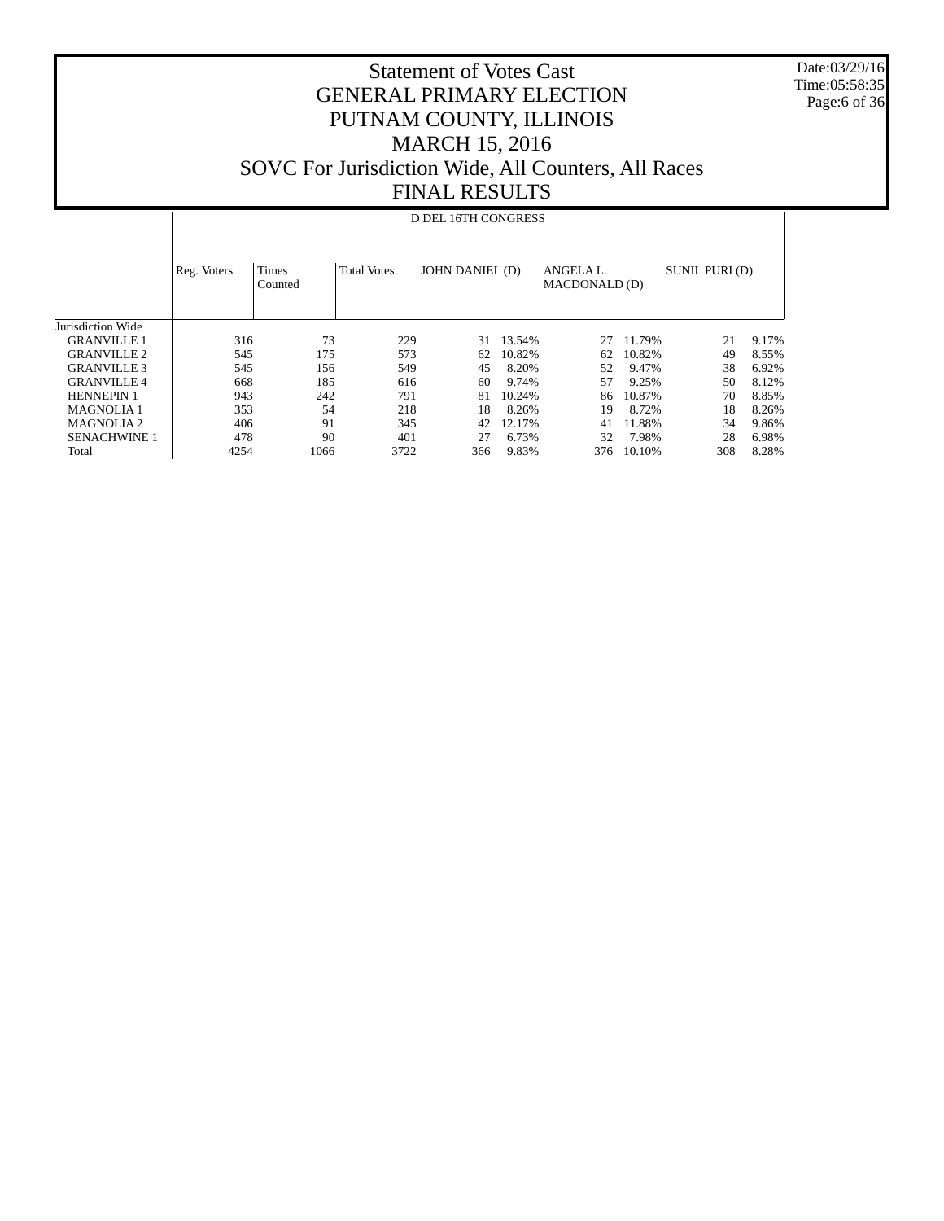Date:03/29/16 Time:05:58:35 Page:6 of 36

#### Statement of Votes Cast GENERAL PRIMARY ELECTION PUTNAM COUNTY, ILLINOIS MARCH 15, 2016 SOVC For Jurisdiction Wide, All Counters, All Races FINAL RESULTS

#### Jurisdiction Wide GRANVILLE 1 GRANVILLE 2 GRANVILLE 3 GRANVILLE 4 HENNEPIN 1 MAGNOLIA 1 MAGNOLIA 2 SENACHWINE 1 Total Reg. Voters | Times Counted Total Votes | JOHN DANIEL (D) | ANGELA L. MACDONALD (D) SUNIL PURI (D) D DEL 16TH CONGRESS 316 73 229 31 13.54% 27 11.79% 21 9.17% 545 175 573 62 10.82% 62 10.82% 49 8.55% 545 156 549 45 8.20% 52 9.47% 38 6.92% 668 185 616 60 9.74% 57 9.25% 50 8.12% 943 242 791 81 10.24% 86 10.87% 70 8.85% 353 54 218 18 8.26% 19 8.72% 18 8.26% 41 11.88% 34 9.86% 478 90 401 27 6.73% 32 7.98% 28 6.98% 478 90 401 27 6.73% 32 7.98% 28 6.98% 4254 1066 3722 366 9.83% 376 10.10% 308 8.28%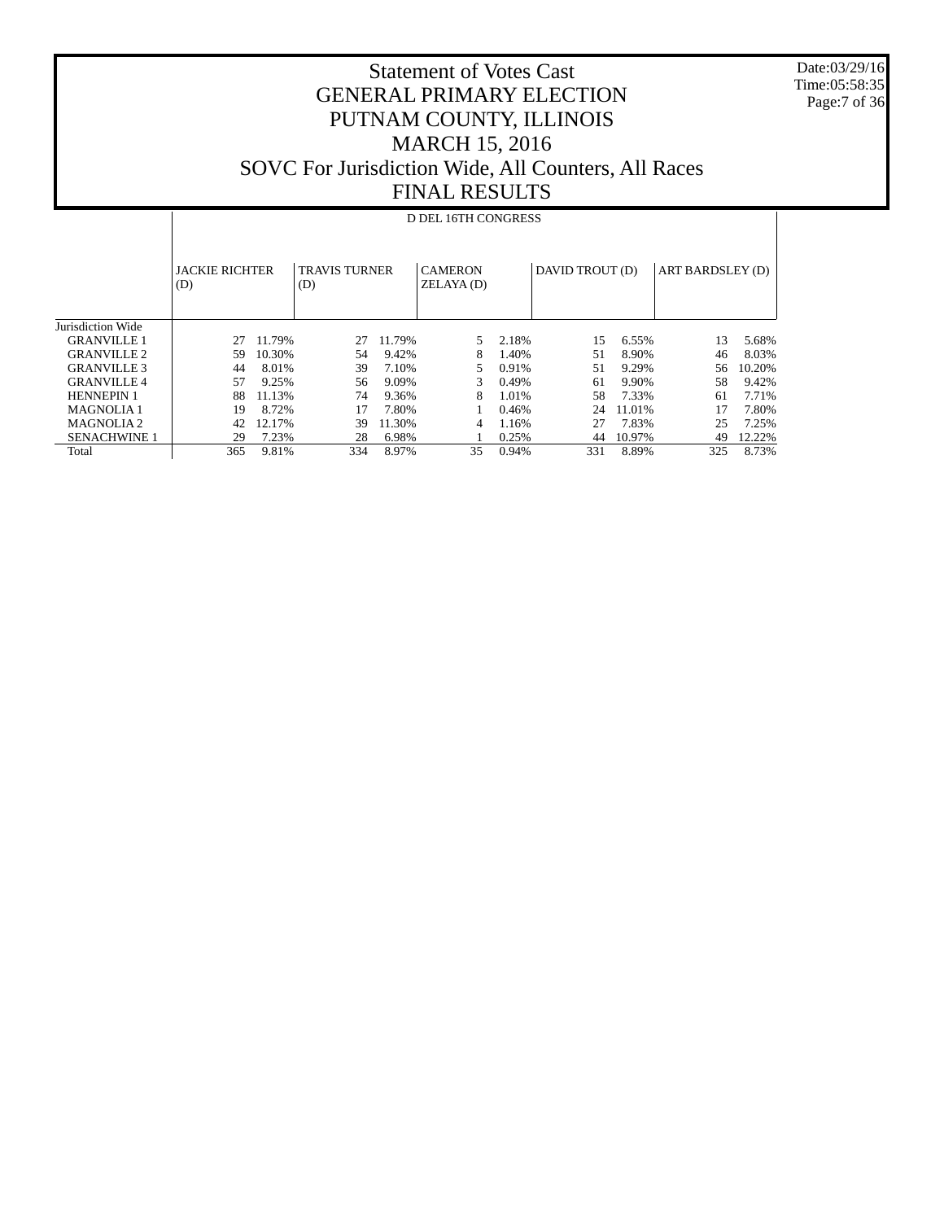Date:03/29/16 Time:05:58:35 Page:7 of 36

### Statement of Votes Cast GENERAL PRIMARY ELECTION PUTNAM COUNTY, ILLINOIS MARCH 15, 2016 SOVC For Jurisdiction Wide, All Counters, All Races FINAL RESULTS

## D DEL 16TH CONGRESS

|                       | <b>JACKIE RICHTER</b><br>(D) |        | <b>TRAVIS TURNER</b><br>(D) |        | <b>CAMERON</b><br>ZELAYA(D) |       | DAVID TROUT (D) |        | ART BARDSLEY (D) |        |
|-----------------------|------------------------------|--------|-----------------------------|--------|-----------------------------|-------|-----------------|--------|------------------|--------|
| Jurisdiction Wide     |                              |        |                             |        |                             |       |                 |        |                  |        |
| <b>GRANVILLE 1</b>    | 27                           | 11.79% | 27                          | 11.79% |                             | 2.18% | 15              | 6.55%  | 13               | 5.68%  |
| <b>GRANVILLE 2</b>    | 59                           | 10.30% | .54                         | 9.42%  | 8                           | 1.40% | 51              | 8.90%  | 46               | 8.03%  |
| <b>GRANVILLE 3</b>    | 44                           | 8.01%  | 39                          | 7.10%  | 5                           | 0.91% | 51              | 9.29%  | 56               | 10.20% |
| <b>GRANVILLE 4</b>    | 57                           | 9.25%  | 56                          | 9.09%  |                             | 0.49% | 61              | 9.90%  | 58               | 9.42%  |
| <b>HENNEPIN 1</b>     | 88                           | 11.13% | 74                          | 9.36%  | 8                           | 1.01% | 58              | 7.33%  | 61               | 7.71%  |
| <b>MAGNOLIA1</b>      | 19                           | 8.72%  | 17                          | 7.80%  |                             | 0.46% | 24              | 11.01% | 17               | 7.80%  |
| MAGNOLIA <sub>2</sub> | 42                           | 12.17% | 39                          | 11.30% | 4                           | 1.16% | 27              | 7.83%  | 25               | 7.25%  |
| <b>SENACHWINE 1</b>   | 29                           | 7.23%  | 28                          | 6.98%  |                             | 0.25% | 44              | 10.97% | 49               | 12.22% |
| Total                 | 365                          | 9.81%  | 334                         | 8.97%  | 35                          | 0.94% | 331             | 8.89%  | 325              | 8.73%  |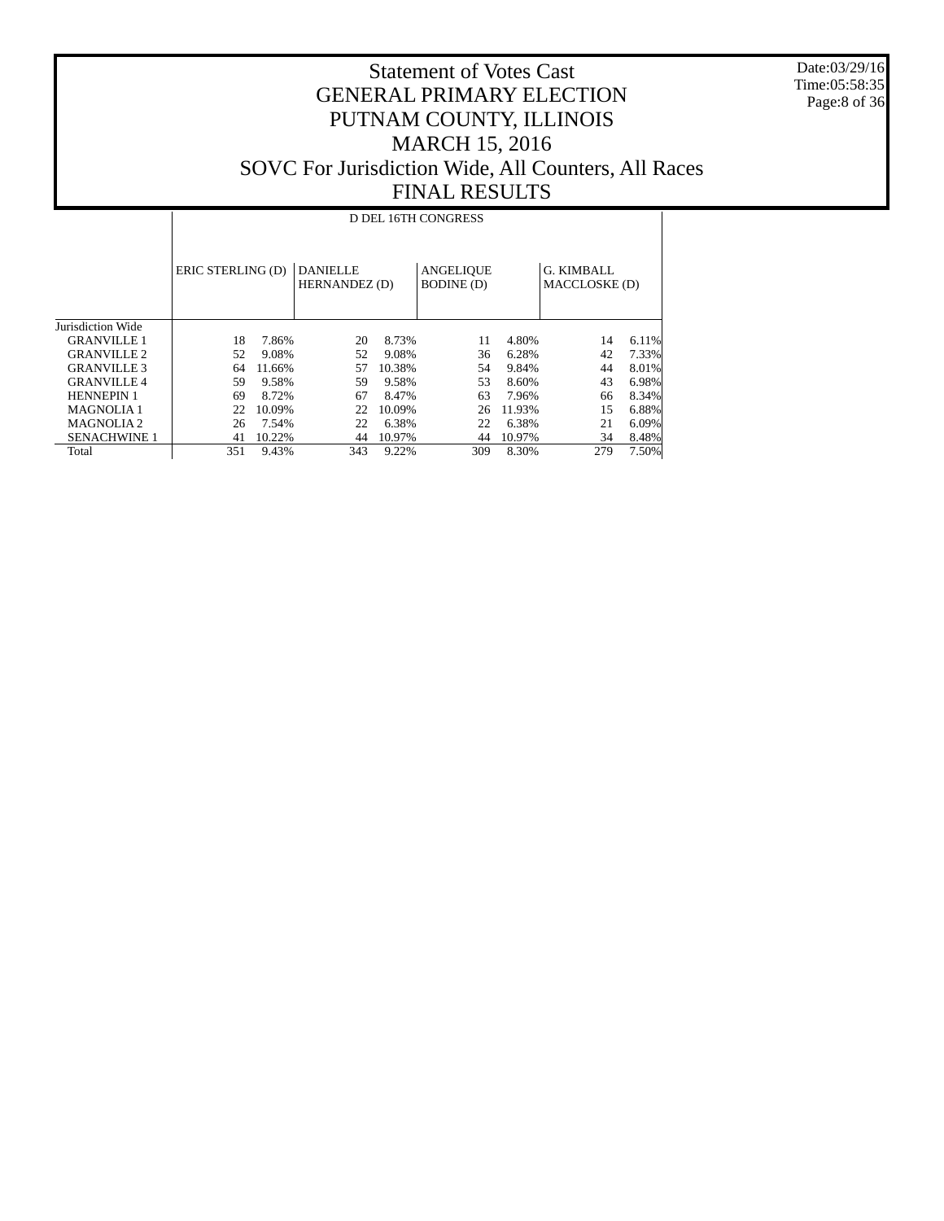Date:03/29/16 Time:05:58:35 Page:8 of 36

|                     |                                                       | D DEL 16TH CONGRESS |     |        |                                       |        |                             |       |  |  |  |  |  |
|---------------------|-------------------------------------------------------|---------------------|-----|--------|---------------------------------------|--------|-----------------------------|-------|--|--|--|--|--|
|                     | ERIC STERLING (D)<br><b>DANIELLE</b><br>HERNANDEZ (D) |                     |     |        | <b>ANGELIQUE</b><br><b>BODINE</b> (D) |        | G. KIMBALL<br>MACCLOSKE (D) |       |  |  |  |  |  |
| Jurisdiction Wide   |                                                       |                     |     |        |                                       |        |                             |       |  |  |  |  |  |
| <b>GRANVILLE 1</b>  | 18                                                    | 7.86%               | 20  | 8.73%  | 11                                    | 4.80%  | 14                          | 6.11% |  |  |  |  |  |
| <b>GRANVILLE 2</b>  | 52                                                    | 9.08%               | 52  | 9.08%  | 36                                    | 6.28%  | 42                          | 7.33% |  |  |  |  |  |
| <b>GRANVILLE 3</b>  | 64                                                    | 11.66%              | 57  | 10.38% | 54                                    | 9.84%  | 44                          | 8.01% |  |  |  |  |  |
| <b>GRANVILLE 4</b>  | 59                                                    | 9.58%               | 59  | 9.58%  | 53                                    | 8.60%  | 43                          | 6.98% |  |  |  |  |  |
| <b>HENNEPIN 1</b>   | 69                                                    | 8.72%               | 67  | 8.47%  | 63                                    | 7.96%  | 66                          | 8.34% |  |  |  |  |  |
| <b>MAGNOLIA1</b>    | 22                                                    | 10.09%              | 22  | 10.09% | 26                                    | 11.93% | 15                          | 6.88% |  |  |  |  |  |
| MAGNOLIA 2          | 26                                                    | 7.54%               | 22  | 6.38%  | 22                                    | 6.38%  | 21                          | 6.09% |  |  |  |  |  |
| <b>SENACHWINE 1</b> | 41                                                    | 10.22%              | 44  | 10.97% | 44                                    | 10.97% | 34                          | 8.48% |  |  |  |  |  |
| Total               | 351                                                   | 9.43%               | 343 | 9.22%  | 309                                   | 8.30%  | 279                         | 7.50% |  |  |  |  |  |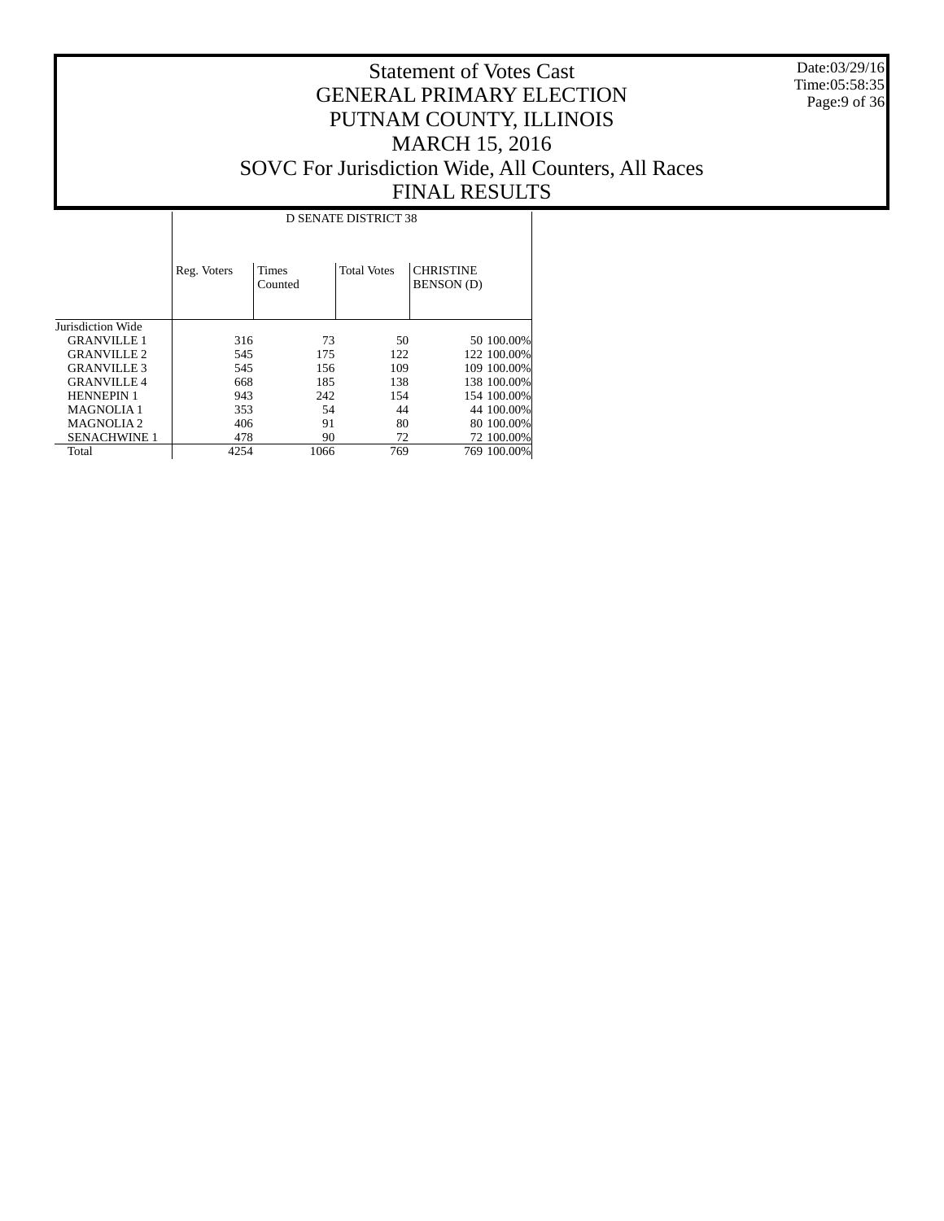Date:03/29/16 Time:05:58:35 Page:9 of 36

|                       | <b>D SENATE DISTRICT 38</b> |                  |                    |                                       |             |  |  |  |  |  |  |
|-----------------------|-----------------------------|------------------|--------------------|---------------------------------------|-------------|--|--|--|--|--|--|
|                       | Reg. Voters                 | Times<br>Counted | <b>Total Votes</b> | <b>CHRISTINE</b><br><b>BENSON</b> (D) |             |  |  |  |  |  |  |
| Jurisdiction Wide     |                             |                  |                    |                                       |             |  |  |  |  |  |  |
| <b>GRANVILLE 1</b>    | 316                         | 73               | 50                 |                                       | 50 100.00%  |  |  |  |  |  |  |
| <b>GRANVILLE 2</b>    | 545                         | 175              | 122                |                                       | 122 100.00% |  |  |  |  |  |  |
| <b>GRANVILLE 3</b>    | 545                         | 156              | 109                |                                       | 109 100,00% |  |  |  |  |  |  |
| <b>GRANVILLE 4</b>    | 668                         | 185              | 138                |                                       | 138 100.00% |  |  |  |  |  |  |
| <b>HENNEPIN 1</b>     | 943                         | 242              | 154                |                                       | 154 100,00% |  |  |  |  |  |  |
| <b>MAGNOLIA1</b>      | 353                         | 54               | 44                 |                                       | 44 100.00%  |  |  |  |  |  |  |
| MAGNOLIA <sub>2</sub> | 406                         | 91               | 80                 |                                       | 80 100,00%  |  |  |  |  |  |  |
| <b>SENACHWINE 1</b>   | 478                         | 90               | 72                 |                                       | 72 100.00%  |  |  |  |  |  |  |
| Total                 | 4254                        | 1066             | 769                |                                       | 769 100.00% |  |  |  |  |  |  |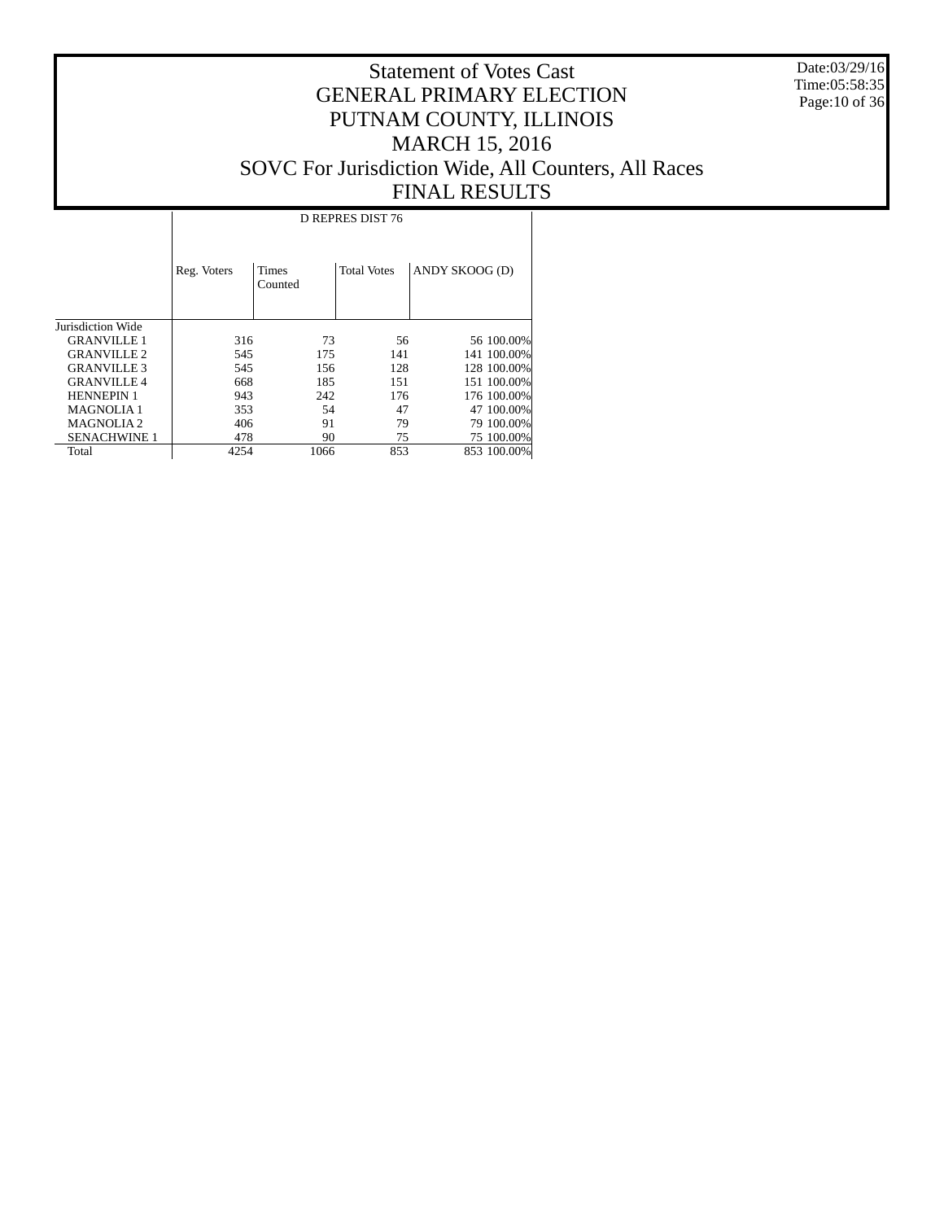Date:03/29/16 Time:05:58:35 Page:10 of 36

|                     | D REPRES DIST 76 |                         |                    |                |  |  |  |  |  |  |  |
|---------------------|------------------|-------------------------|--------------------|----------------|--|--|--|--|--|--|--|
|                     | Reg. Voters      | <b>Times</b><br>Counted | <b>Total Votes</b> | ANDY SKOOG (D) |  |  |  |  |  |  |  |
| Jurisdiction Wide   |                  |                         |                    |                |  |  |  |  |  |  |  |
| <b>GRANVILLE 1</b>  | 316              | 73                      | 56                 | 56 100.00%     |  |  |  |  |  |  |  |
| <b>GRANVILLE 2</b>  | 545              | 175                     | 141                | 141 100.00%    |  |  |  |  |  |  |  |
| <b>GRANVILLE 3</b>  | 545              | 156                     | 128                | 128 100.00%    |  |  |  |  |  |  |  |
| <b>GRANVILLE 4</b>  | 668              | 185                     | 151                | 151 100.00%    |  |  |  |  |  |  |  |
| <b>HENNEPIN 1</b>   | 943              | 242                     | 176                | 176 100.00%    |  |  |  |  |  |  |  |
| <b>MAGNOLIA1</b>    | 353              | 54                      | 47                 | 47 100.00%     |  |  |  |  |  |  |  |
| <b>MAGNOLIA2</b>    | 406              | 91                      | 79                 | 79 100.00%     |  |  |  |  |  |  |  |
| <b>SENACHWINE 1</b> | 478              | 90                      | 75                 | 75 100.00%     |  |  |  |  |  |  |  |
| Total               | 4254             | 1066                    | 853                | 853 100.00%    |  |  |  |  |  |  |  |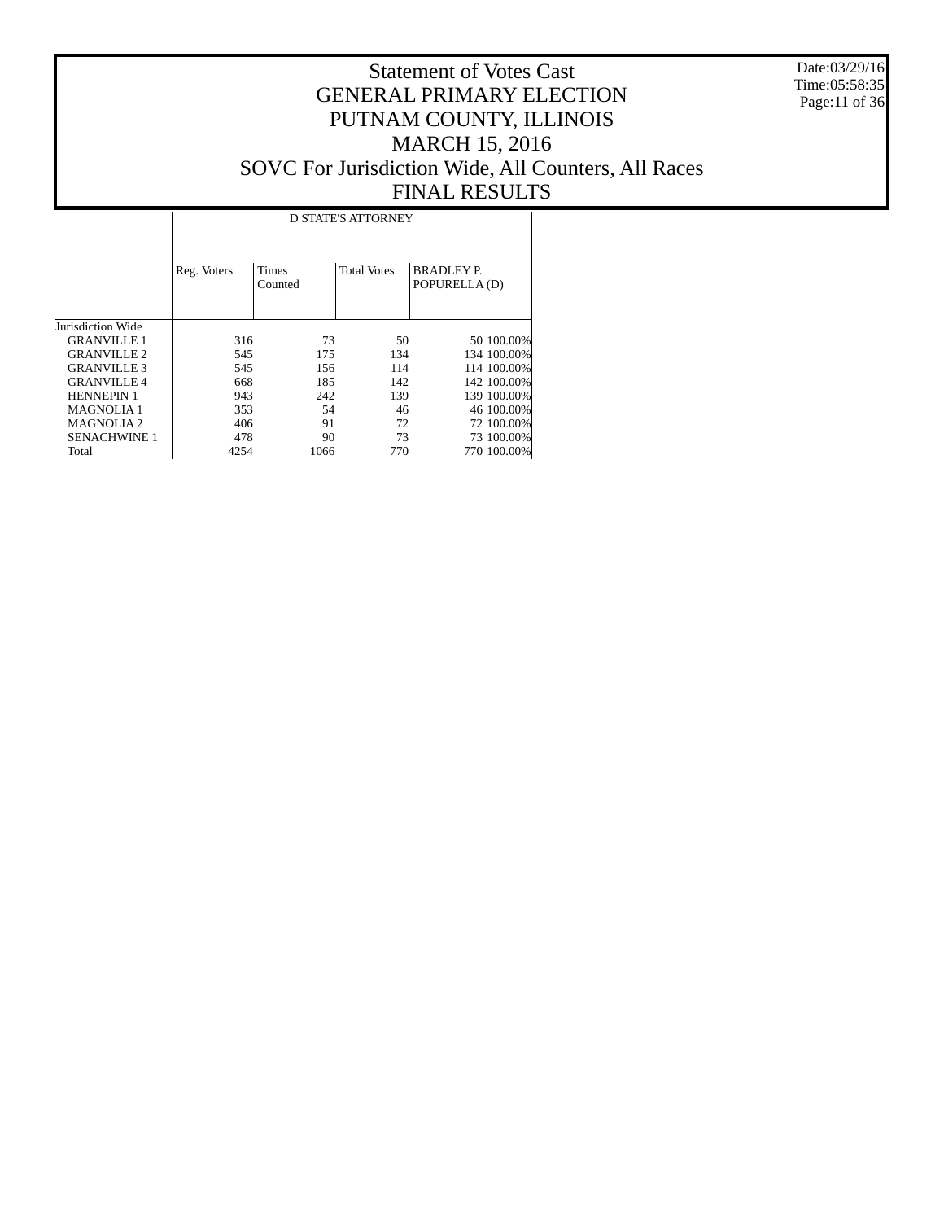Date:03/29/16 Time:05:58:35 Page:11 of 36

|                       | <b>D STATE'S ATTORNEY</b> |                         |                    |                                    |  |  |  |  |  |  |  |
|-----------------------|---------------------------|-------------------------|--------------------|------------------------------------|--|--|--|--|--|--|--|
|                       | Reg. Voters               | <b>Times</b><br>Counted | <b>Total Votes</b> | <b>BRADLEY P.</b><br>POPURELLA (D) |  |  |  |  |  |  |  |
| Jurisdiction Wide     |                           |                         |                    |                                    |  |  |  |  |  |  |  |
| <b>GRANVILLE 1</b>    | 316                       | 73                      | 50                 | 50 100,00%                         |  |  |  |  |  |  |  |
| <b>GRANVILLE 2</b>    | 545                       | 175                     | 134                | 134 100.00%                        |  |  |  |  |  |  |  |
| <b>GRANVILLE 3</b>    | 545                       | 156                     | 114                | 114 100.00%                        |  |  |  |  |  |  |  |
| <b>GRANVILLE 4</b>    | 668                       | 185                     | 142                | 142 100.00%                        |  |  |  |  |  |  |  |
| <b>HENNEPIN 1</b>     | 943                       | 242                     | 139                | 139 100.00%                        |  |  |  |  |  |  |  |
| <b>MAGNOLIA1</b>      | 353                       | 54                      | 46                 | 46 100.00%                         |  |  |  |  |  |  |  |
| MAGNOLIA <sub>2</sub> | 406                       | 91                      | 72                 | 72 100.00%                         |  |  |  |  |  |  |  |
| <b>SENACHWINE 1</b>   | 478                       | 90                      | 73                 | 73 100.00%                         |  |  |  |  |  |  |  |
| Total                 | 4254                      | 1066                    | 770                | 770 100.00%                        |  |  |  |  |  |  |  |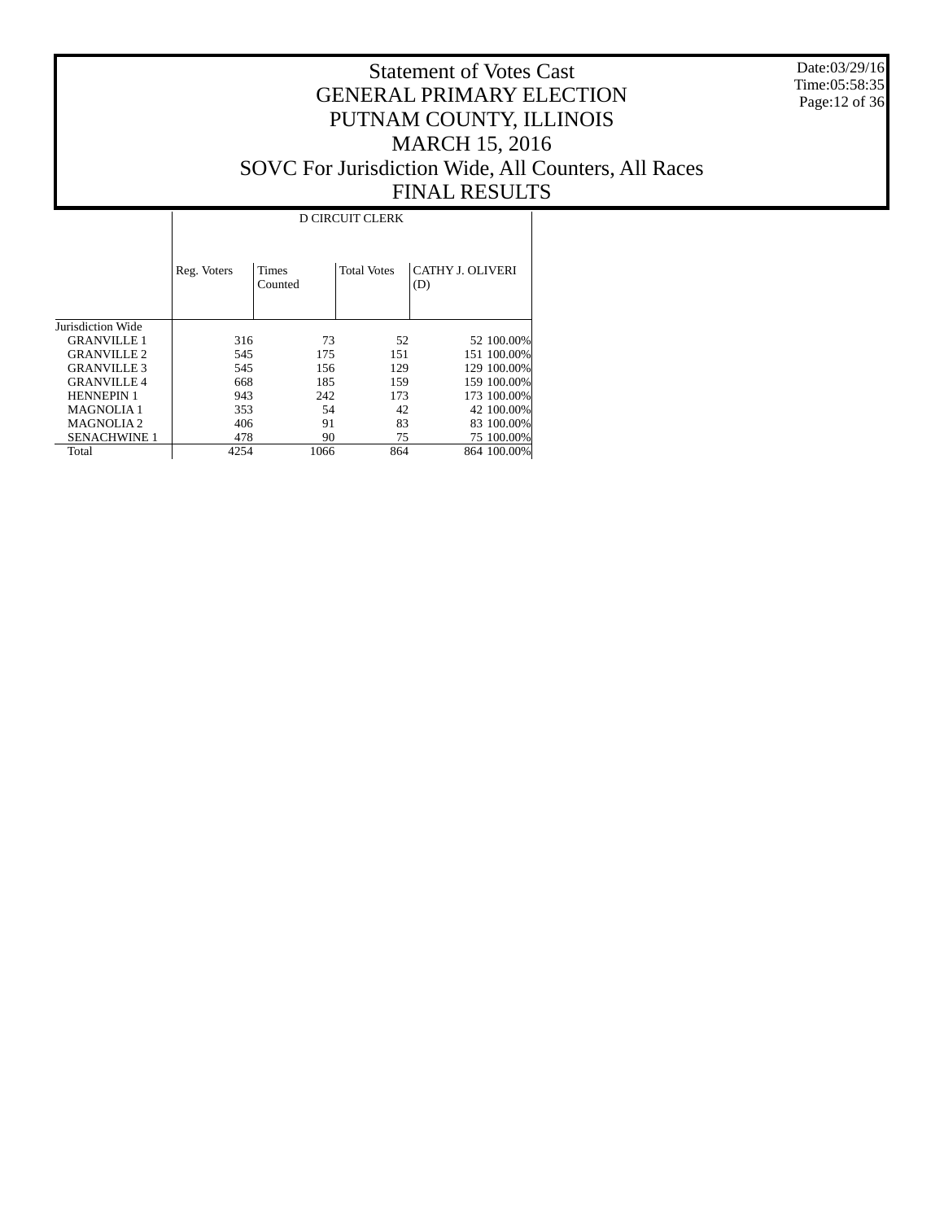Date:03/29/16 Time:05:58:35 Page:12 of 36

|                     | <b>D CIRCUIT CLERK</b> |                         |                    |                         |  |  |  |  |  |  |
|---------------------|------------------------|-------------------------|--------------------|-------------------------|--|--|--|--|--|--|
|                     | Reg. Voters            | <b>Times</b><br>Counted | <b>Total Votes</b> | CATHY J. OLIVERI<br>(D) |  |  |  |  |  |  |
| Jurisdiction Wide   |                        |                         |                    |                         |  |  |  |  |  |  |
| <b>GRANVILLE 1</b>  | 316                    | 73                      | 52                 | 52 100.00%              |  |  |  |  |  |  |
| <b>GRANVILLE 2</b>  | 545                    | 175                     | 151                | 151 100.00%             |  |  |  |  |  |  |
| <b>GRANVILLE 3</b>  | 545                    | 156                     | 129                | 129 100.00%             |  |  |  |  |  |  |
| <b>GRANVILLE 4</b>  | 668                    | 185                     | 159                | 159 100.00%             |  |  |  |  |  |  |
| <b>HENNEPIN 1</b>   | 943                    | 242                     | 173                | 173 100.00%             |  |  |  |  |  |  |
| <b>MAGNOLIA1</b>    | 353                    | 54                      | 42                 | 42 100.00%              |  |  |  |  |  |  |
| <b>MAGNOLIA2</b>    | 406                    | 91                      | 83                 | 83 100.00%              |  |  |  |  |  |  |
| <b>SENACHWINE 1</b> | 478                    | 90                      | 75                 | 75 100.00%              |  |  |  |  |  |  |
| Total               | 4254                   | 1066                    | 864                | 864 100.00%             |  |  |  |  |  |  |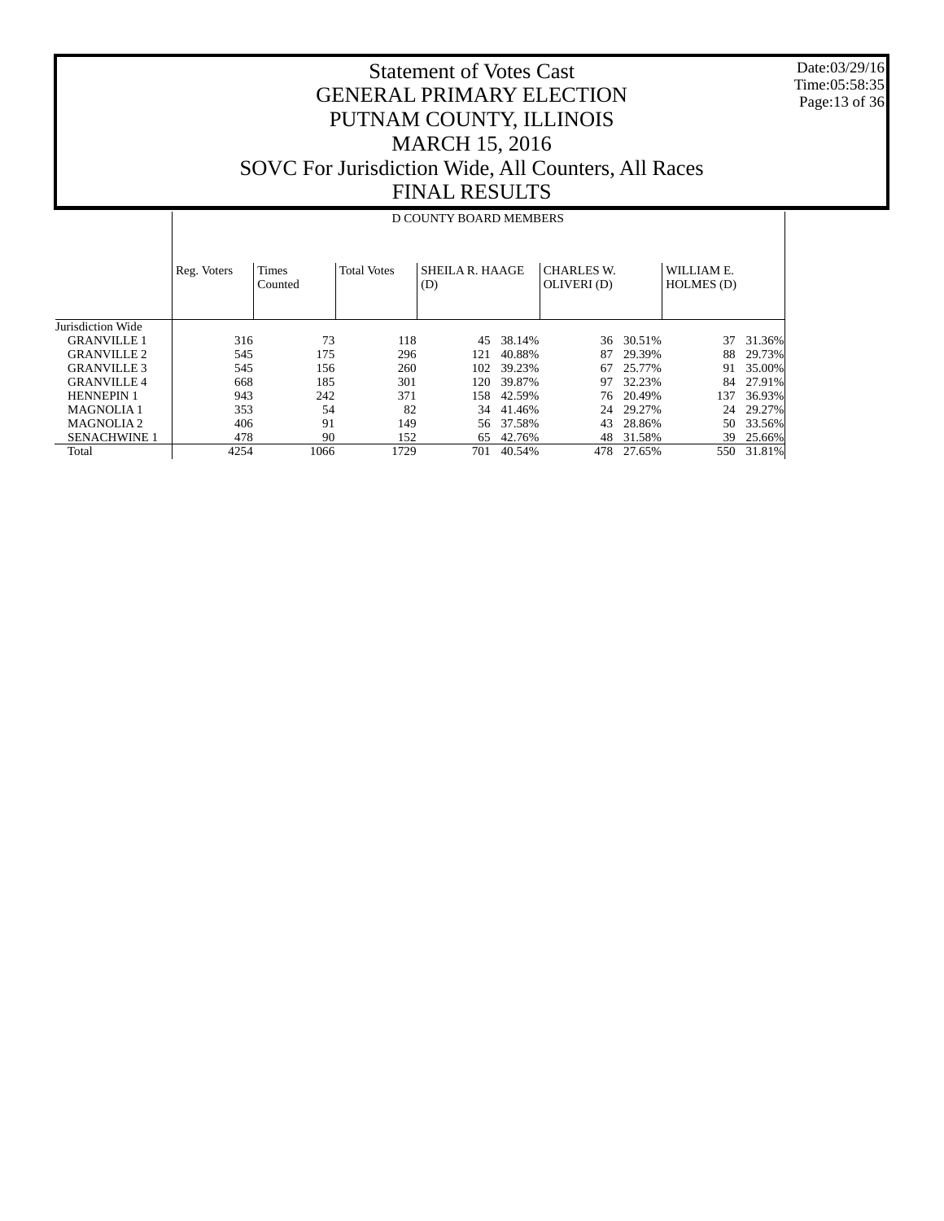Date:03/29/16 Time:05:58:35 Page:13 of 36

#### Statement of Votes Cast GENERAL PRIMARY ELECTION PUTNAM COUNTY, ILLINOIS MARCH 15, 2016 SOVC For Jurisdiction Wide, All Counters, All Races FINAL RESULTS

#### Jurisdiction Wide GRANVILLE 1 GRANVILLE 2 GRANVILLE 3 GRANVILLE 4 HENNEPIN 1 MAGNOLIA 1 MAGNOLIA 2 SENACHWINE 1 Total Reg. Voters | Times Counted Total Votes | SHEILA R. HAAGE (D) CHARLES W. OLIVERI (D) WILLIAM E. HOLMES (D) D COUNTY BOARD MEMBERS 316 73 118 45 38.14% 36 30.51% 37 31.36% 545 175 296 121 40.88% 87 29.39%<br>545 156 260 102 39.23% 67 25.77% 545 156 260 102 39.23% 67 25.77% 91 35.00% 668 185 301 120 39.87% 97 32.23% 84 27.91% 158 42.59% 76 20.49% 137 36.93%<br>34 41.46% 24 29.27% 24 29.27% 353 54 82 34 41.46% 24 29.27% 24 29.27% 406 91 149 56 37.58% 43 28.86% 478 90 152 65 42.76% 48 31.58% 478 90 152 65 42.76% 48 31.58% 39 25.66% 701 40.54%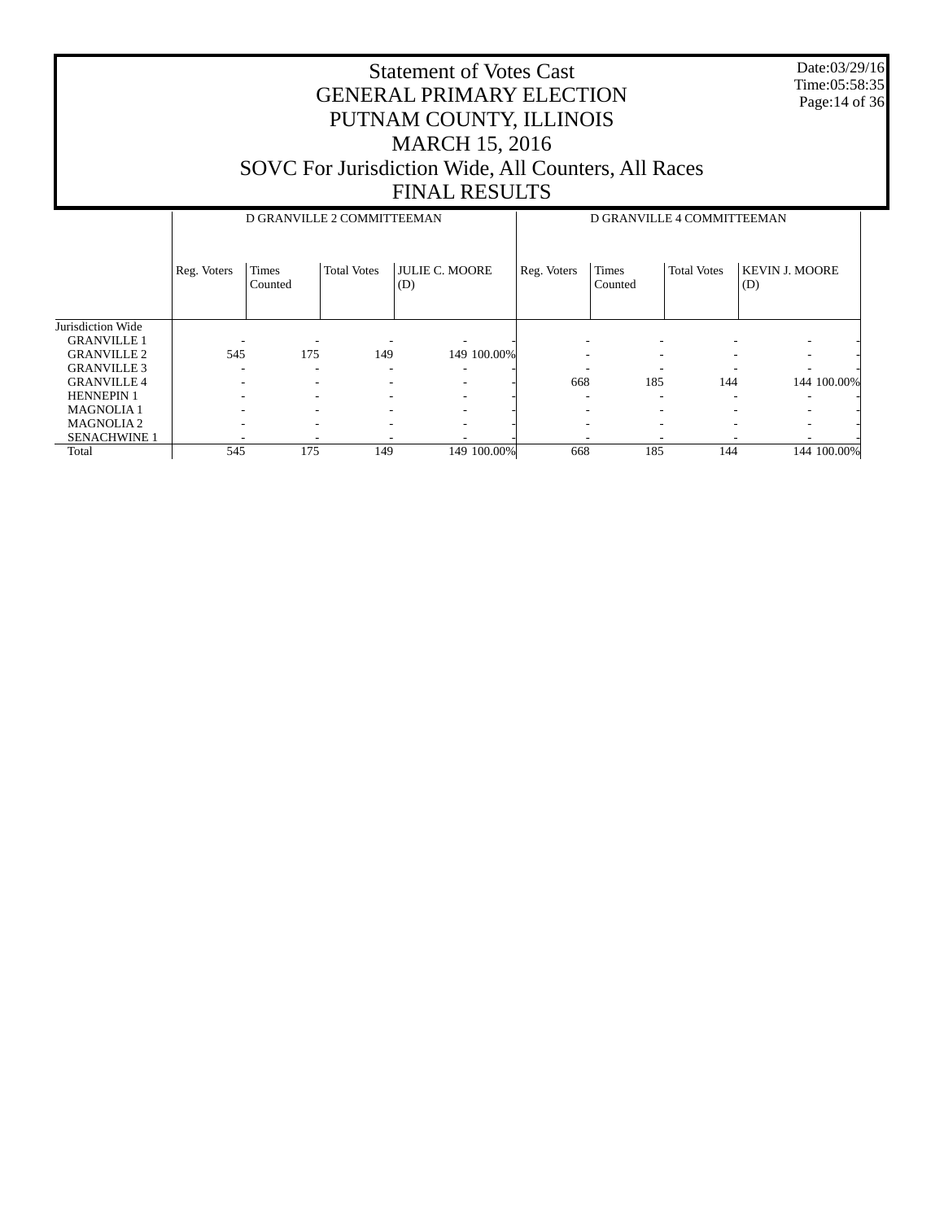Date:03/29/16 Time:05:58:35 Page:14 of 36

|                     |             | D GRANVILLE 2 COMMITTEEMAN |                    |                              | D GRANVILLE 4 COMMITTEEMAN |                  |                    |                              |
|---------------------|-------------|----------------------------|--------------------|------------------------------|----------------------------|------------------|--------------------|------------------------------|
|                     | Reg. Voters | Times<br>Counted           | <b>Total Votes</b> | <b>JULIE C. MOORE</b><br>(D) | Reg. Voters                | Times<br>Counted | <b>Total Votes</b> | <b>KEVIN J. MOORE</b><br>(D) |
| Jurisdiction Wide   |             |                            |                    |                              |                            |                  |                    |                              |
| <b>GRANVILLE 1</b>  |             |                            |                    |                              |                            |                  |                    |                              |
| <b>GRANVILLE 2</b>  | 545         | 175                        | 149                | 149 100.00%                  |                            |                  |                    | ۰                            |
| <b>GRANVILLE 3</b>  |             | $\overline{\phantom{a}}$   | ۰                  |                              |                            |                  |                    |                              |
| <b>GRANVILLE 4</b>  |             | $\overline{\phantom{a}}$   |                    | ۰                            | 668                        | 185              | 144                | 144 100.00%                  |
| <b>HENNEPIN 1</b>   |             | $\overline{\phantom{a}}$   | ۰                  |                              | -                          | ۰                |                    | -                            |
| <b>MAGNOLIA1</b>    |             | $\overline{\phantom{a}}$   | ۰                  |                              |                            |                  |                    | ۰                            |
| <b>MAGNOLIA2</b>    | -           | $\overline{\phantom{a}}$   | ۰                  |                              |                            |                  |                    | $\overline{\phantom{a}}$     |
| <b>SENACHWINE 1</b> | -           | $\overline{\phantom{a}}$   |                    |                              |                            |                  |                    |                              |
| Total               | 545         | 175                        | 149                | 149 100.00%                  | 668                        | 185              | 144                | 144 100.00%                  |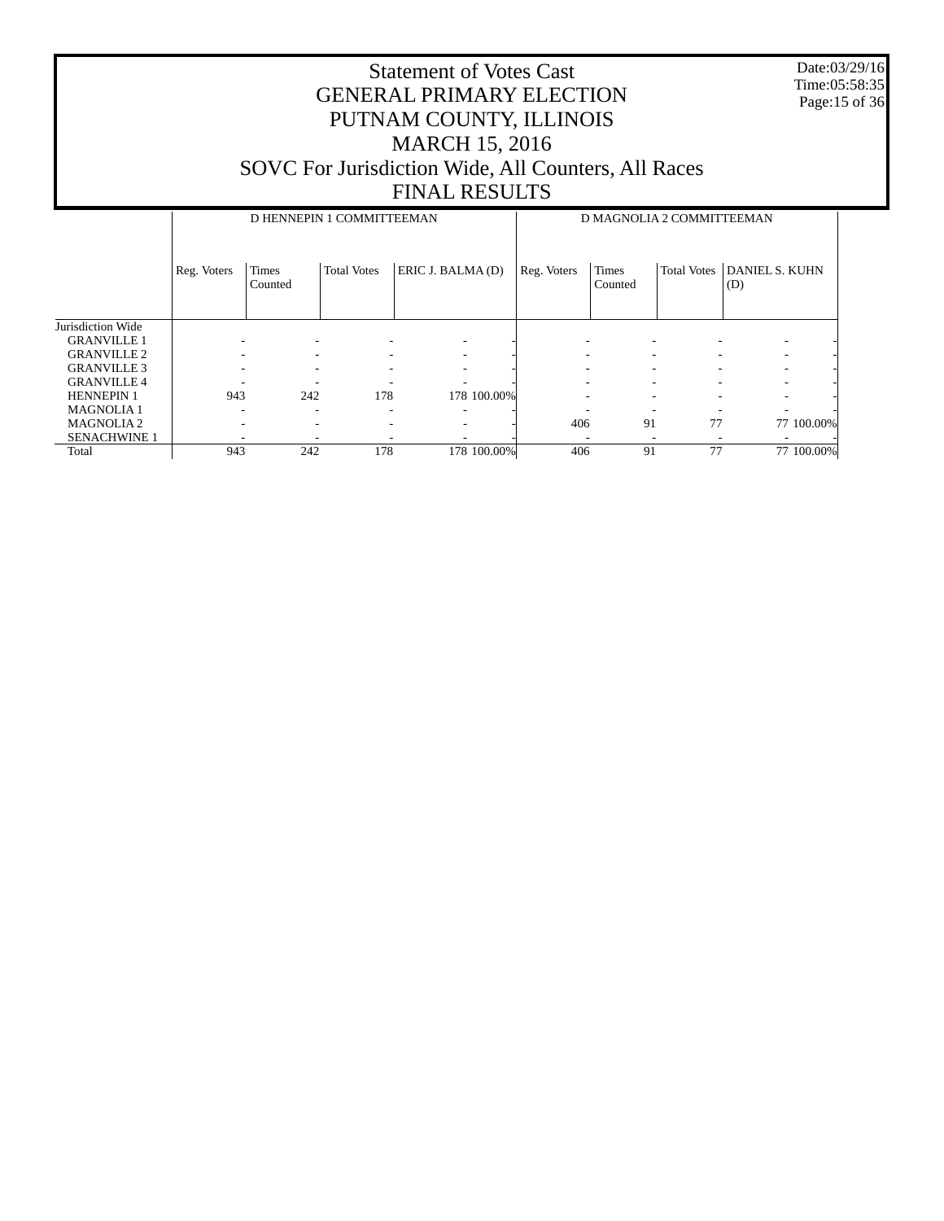Date:03/29/16 Time:05:58:35 Page:15 of 36

|                     |                          | D HENNEPIN 1 COMMITTEEMAN |                    |                   | D MAGNOLIA 2 COMMITTEEMAN |                          |                    |                              |
|---------------------|--------------------------|---------------------------|--------------------|-------------------|---------------------------|--------------------------|--------------------|------------------------------|
|                     | Reg. Voters              | <b>Times</b><br>Counted   | <b>Total Votes</b> | ERIC J. BALMA (D) | Reg. Voters               | Times<br>Counted         | <b>Total Votes</b> | <b>DANIEL S. KUHN</b><br>(D) |
| Jurisdiction Wide   |                          |                           |                    |                   |                           |                          |                    |                              |
| <b>GRANVILLE 1</b>  |                          |                           |                    |                   |                           |                          |                    | ٠                            |
| <b>GRANVILLE 2</b>  |                          |                           |                    |                   |                           |                          |                    | ٠                            |
| <b>GRANVILLE 3</b>  |                          |                           |                    |                   |                           |                          |                    | $\overline{\phantom{a}}$     |
| <b>GRANVILLE 4</b>  |                          |                           |                    |                   |                           |                          |                    | $\overline{\phantom{a}}$     |
| <b>HENNEPIN 1</b>   | 943                      | 242                       | 178                | 178 100.00%       |                           | $\overline{\phantom{a}}$ |                    | $\overline{\phantom{a}}$     |
| <b>MAGNOLIA1</b>    | $\overline{\phantom{a}}$ | ۰                         | ٠                  |                   |                           |                          |                    | ٠                            |
| <b>MAGNOLIA2</b>    |                          | ۰                         |                    |                   | 406                       | 91                       | 77                 | 77 100.00%                   |
| <b>SENACHWINE 1</b> |                          |                           |                    |                   |                           |                          |                    |                              |
| Total               | 943                      | 242                       | 178                | 178 100.00%       | 406                       | 91                       | 77                 | 77 100.00%                   |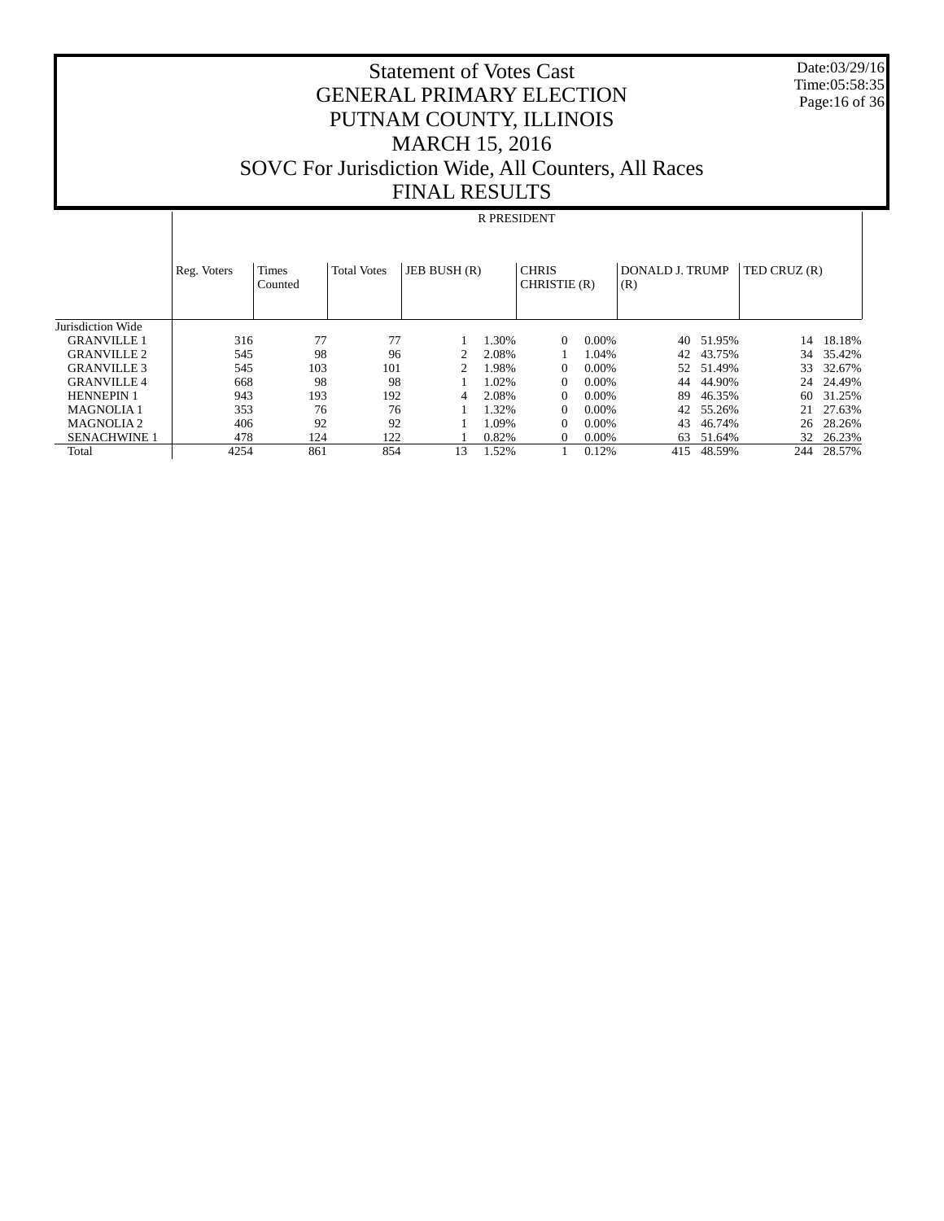Statement of Votes Cast GENERAL PRIMARY ELECTION PUTNAM COUNTY, ILLINOIS MARCH 15, 2016 SOVC For Jurisdiction Wide, All Counters, All Races FINAL RESULTS

 Date:03/29/16 Time:05:58:35 Page:16 of 36

# R PRESIDENT

|                     | Reg. Voters | <b>Times</b><br>Counted | <b>Total Votes</b> | JEB BUSH (R) |       | <b>CHRIS</b><br>CHRISTIE (R) |          | <b>DONALD J. TRUMP</b><br>(R) |        | TED CRUZ (R) |           |
|---------------------|-------------|-------------------------|--------------------|--------------|-------|------------------------------|----------|-------------------------------|--------|--------------|-----------|
| Jurisdiction Wide   |             |                         |                    |              |       |                              |          |                               |        |              |           |
| <b>GRANVILLE 1</b>  | 316         | 77                      | 77                 |              | 1.30% | $\Omega$                     | $0.00\%$ | 40                            | 51.95% | 14           | 18.18%    |
| <b>GRANVILLE 2</b>  | 545         | 98                      | 96                 |              | 2.08% |                              | 1.04%    | 42                            | 43.75% |              | 34 35.42% |
| <b>GRANVILLE 3</b>  | 545         | 103                     | 101                |              | .98%  | $\Omega$                     | 0.00%    | 52                            | 51.49% | 33           | 32.67%    |
| <b>GRANVILLE 4</b>  | 668         | 98                      | 98                 |              | 1.02% | $\Omega$                     | 0.00%    | 44                            | 44.90% | 24           | 24.49%    |
| <b>HENNEPIN 1</b>   | 943         | 193                     | 192                | 4            | 2.08% | $\Omega$                     | 0.00%    | 89                            | 46.35% | 60           | 31.25%    |
| <b>MAGNOLIA1</b>    | 353         | 76                      | 76                 |              | 1.32% |                              | $0.00\%$ | 42                            | 55.26% | 21           | 27.63%    |
| <b>MAGNOLIA2</b>    | 406         | 92                      | 92                 |              | 1.09% | $\Omega$                     | 0.00%    | 43                            | 46.74% | 26           | 28.26%    |
| <b>SENACHWINE 1</b> | 478         | 124                     | 122                |              | 0.82% | $\Omega$                     | $0.00\%$ | 63                            | 51.64% |              | 32 26.23% |
| Total               | 4254        | 861                     | 854                | 13           | .52%  |                              | 0.12%    | 415                           | 48.59% | 244          | 28.57%    |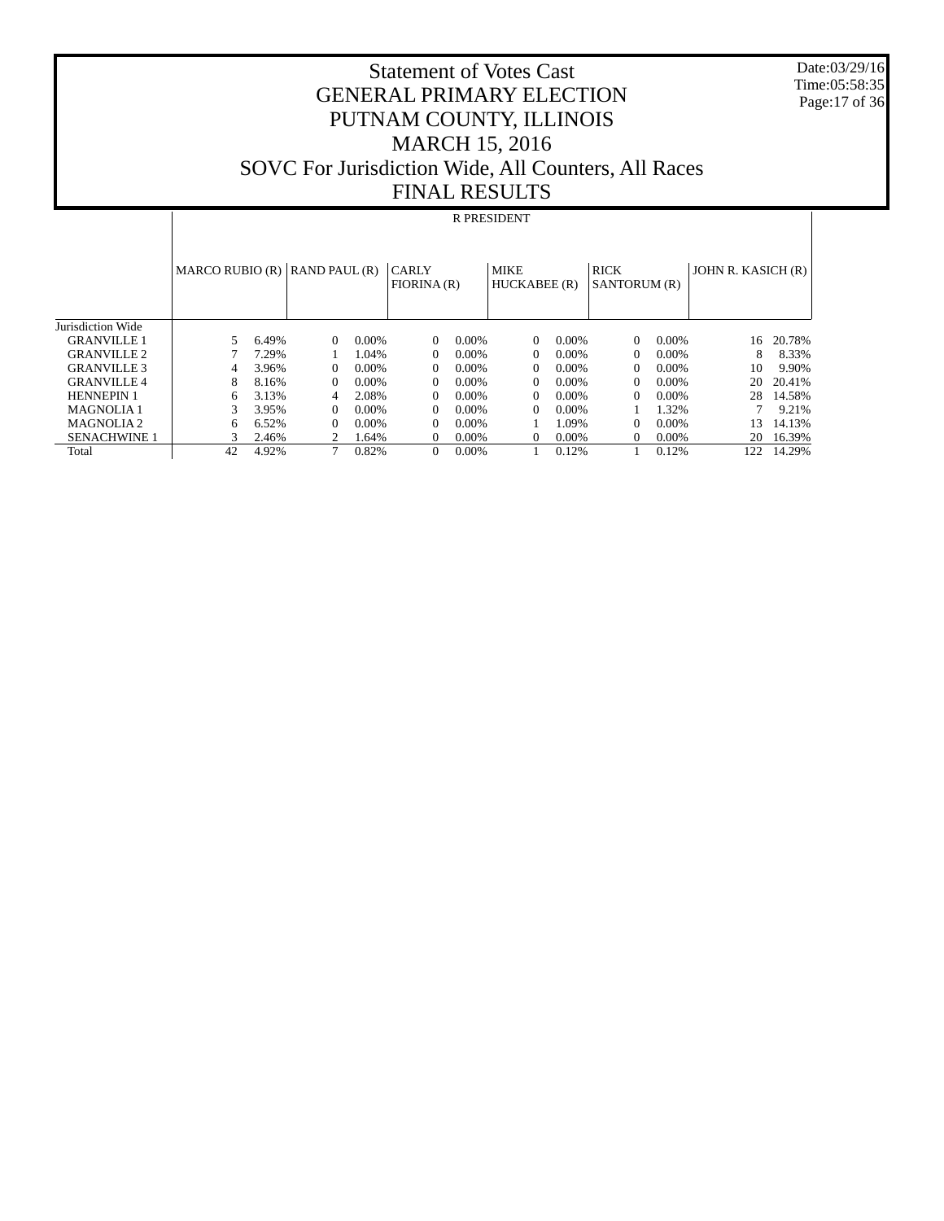Date:03/29/16 Time:05:58:35 Page:17 of 36

#### Statement of Votes Cast GENERAL PRIMARY ELECTION PUTNAM COUNTY, ILLINOIS MARCH 15, 2016 SOVC For Jurisdiction Wide, All Counters, All Races FINAL RESULTS

#### R PRESIDENT

|                       | MARCO RUBIO $(R)$ RAND PAUL $(R)$ |       |          |          | <b>CARLY</b><br>FIORINA(R) |          | <b>MIKE</b><br>HUCKABEE (R) |          | <b>RICK</b><br>SANTORUM (R) |          | JOHN R. KASICH (R) |        |
|-----------------------|-----------------------------------|-------|----------|----------|----------------------------|----------|-----------------------------|----------|-----------------------------|----------|--------------------|--------|
| Jurisdiction Wide     |                                   |       |          |          |                            |          |                             |          |                             |          |                    |        |
| <b>GRANVILLE 1</b>    |                                   | 6.49% | $\Omega$ | $0.00\%$ | $\Omega$                   | 0.00%    | $\Omega$                    | $0.00\%$ | $\Omega$                    | 0.00%    | 16                 | 20.78% |
| <b>GRANVILLE 2</b>    |                                   | 7.29% |          | 1.04%    |                            | $0.00\%$ | 0                           | $0.00\%$ | $\Omega$                    | $0.00\%$ | 8                  | 8.33%  |
| <b>GRANVILLE 3</b>    |                                   | 3.96% | 0        | $0.00\%$ | $\Omega$                   | $0.00\%$ | $\Omega$                    | $0.00\%$ | $\Omega$                    | $0.00\%$ | 10                 | 9.90%  |
| <b>GRANVILLE4</b>     | 8                                 | 8.16% | 0        | $0.00\%$ | $\Omega$                   | 0.00%    | $\Omega$                    | $0.00\%$ | $\Omega$                    | $0.00\%$ | 20                 | 20.41% |
| <b>HENNEPIN 1</b>     | 6                                 | 3.13% | 4        | 2.08%    |                            | 0.00%    | 0                           | $0.00\%$ | $\Omega$                    | $0.00\%$ | 28                 | 14.58% |
| <b>MAGNOLIA1</b>      |                                   | 3.95% | 0        | $0.00\%$ | $\Omega$                   | 0.00%    | 0                           | $0.00\%$ |                             | 1.32%    |                    | 9.21%  |
| MAGNOLIA <sub>2</sub> | 6                                 | 6.52% | $\Omega$ | $0.00\%$ |                            | $0.00\%$ |                             | 1.09%    | $\Omega$                    | $0.00\%$ | 13                 | 14.13% |
| <b>SENACHWINE 1</b>   |                                   | 2.46% |          | 1.64%    | $\Omega$                   | $0.00\%$ | $\Omega$                    | $0.00\%$ | $\Omega$                    | $0.00\%$ | 20                 | 16.39% |
| Total                 | 42                                | 4.92% |          | 0.82%    | $\Omega$                   | $0.00\%$ |                             | 0.12%    |                             | 0.12%    | 122                | 14.29% |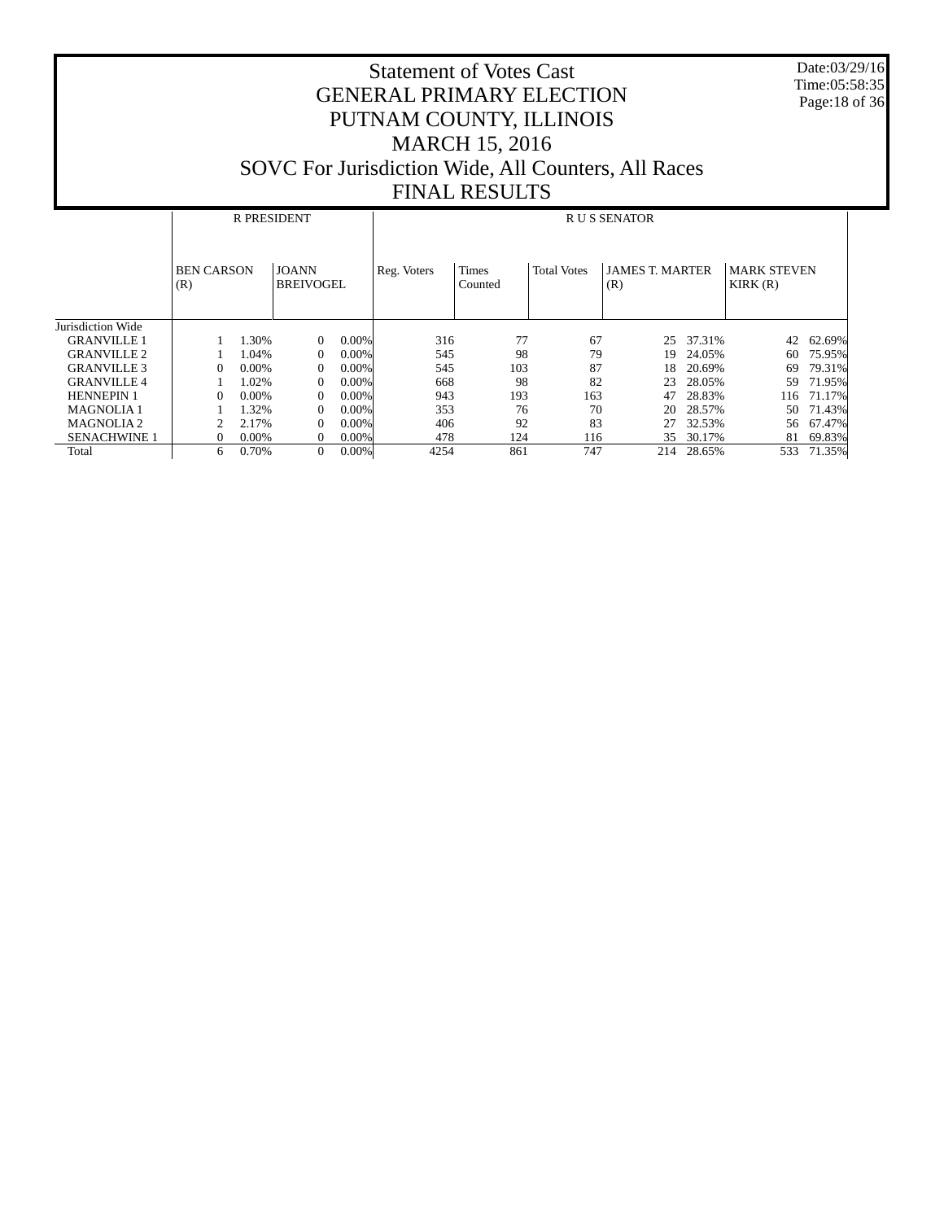Date:03/29/16 Time:05:58:35 Page:18 of 36

|                       | <b>R PRESIDENT</b>       |          |                                  |          |             | <b>RUS SENATOR</b>      |                    |                               |        |                               |        |  |  |  |  |
|-----------------------|--------------------------|----------|----------------------------------|----------|-------------|-------------------------|--------------------|-------------------------------|--------|-------------------------------|--------|--|--|--|--|
|                       | <b>BEN CARSON</b><br>(R) |          | <b>JOANN</b><br><b>BREIVOGEL</b> |          | Reg. Voters | <b>Times</b><br>Counted | <b>Total Votes</b> | <b>JAMES T. MARTER</b><br>(R) |        | <b>MARK STEVEN</b><br>KIRK(R) |        |  |  |  |  |
| Jurisdiction Wide     |                          |          |                                  |          |             |                         |                    |                               |        |                               |        |  |  |  |  |
| <b>GRANVILLE 1</b>    |                          | 1.30%    | $\Omega$                         | $0.00\%$ | 316         | 77                      | 67                 | 25                            | 37.31% | 42                            | 62.69% |  |  |  |  |
| <b>GRANVILLE 2</b>    |                          | 1.04%    | $\Omega$                         | $0.00\%$ | 545         | 98                      | 79                 | 19                            | 24.05% | 60                            | 75.95% |  |  |  |  |
| <b>GRANVILLE 3</b>    | $\Omega$                 | $0.00\%$ | $\Omega$                         | $0.00\%$ | 545         | 103                     | 87                 | 18                            | 20.69% | 69                            | 79.31% |  |  |  |  |
| <b>GRANVILLE 4</b>    |                          | 1.02%    | $\Omega$                         | $0.00\%$ | 668         | 98                      | 82                 | 23                            | 28.05% | 59                            | 71.95% |  |  |  |  |
| <b>HENNEPIN 1</b>     | $\Omega$                 | $0.00\%$ | $\Omega$                         | $0.00\%$ | 943         | 193                     | 163                | 47                            | 28.83% | 116                           | 71.17% |  |  |  |  |
| <b>MAGNOLIA1</b>      |                          | 1.32%    | $\Omega$                         | $0.00\%$ | 353         | 76                      | 70                 | 20                            | 28.57% | 50                            | 71.43% |  |  |  |  |
| MAGNOLIA <sub>2</sub> |                          | 2.17%    | $\Omega$                         | $0.00\%$ | 406         | 92                      | 83                 | 27                            | 32.53% | 56                            | 67.47% |  |  |  |  |
| <b>SENACHWINE 1</b>   | $\Omega$                 | $0.00\%$ | $\Omega$                         | 0.00%    | 478         | 124                     | 116                | 35                            | 30.17% | 81                            | 69.83% |  |  |  |  |
| Total                 | 6                        | 0.70%    | $\Omega$                         | 0.00%    | 4254        | 861                     | 747                | 214                           | 28.65% | 533                           | 71.35% |  |  |  |  |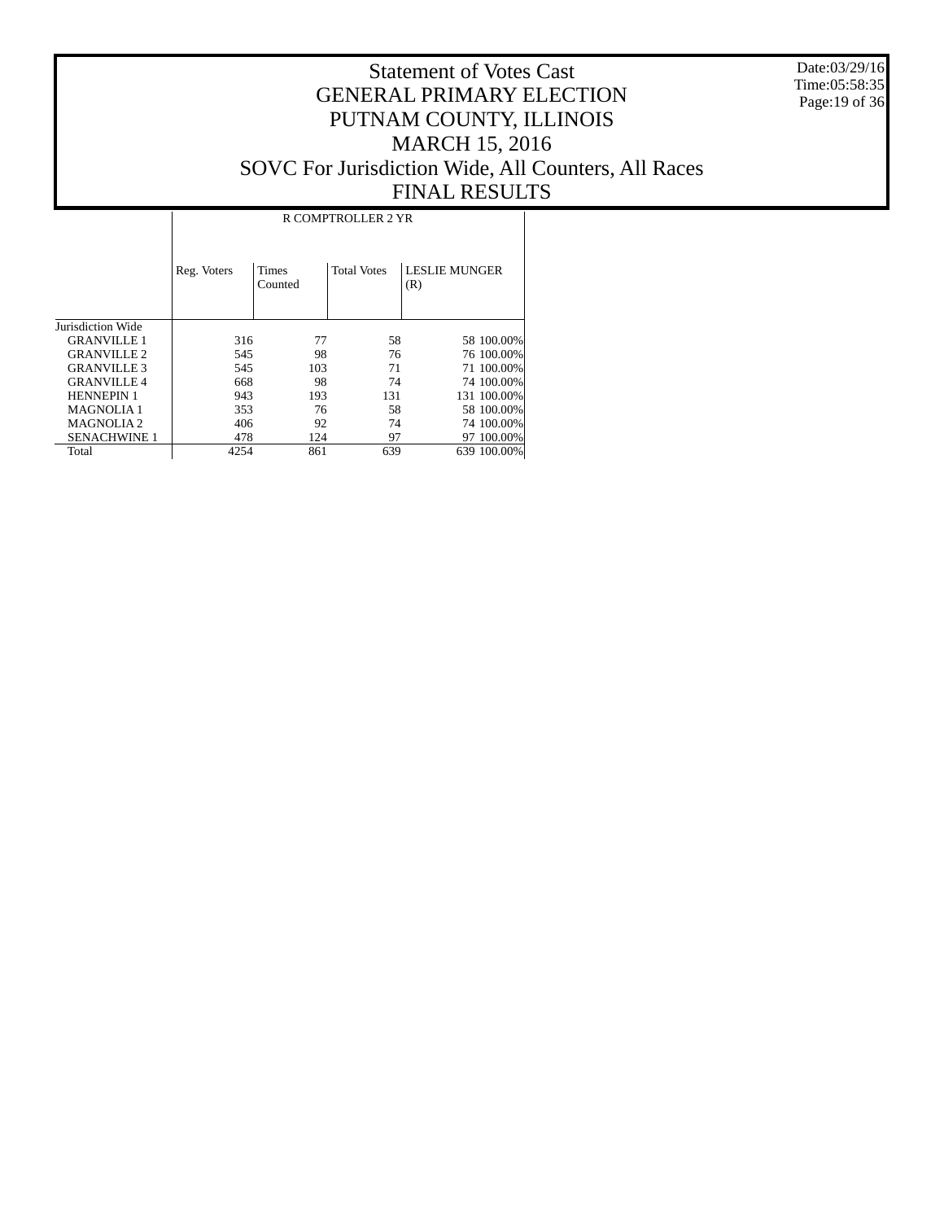Date:03/29/16 Time:05:58:35 Page:19 of 36

#### Statement of Votes Cast GENERAL PRIMARY ELECTION PUTNAM COUNTY, ILLINOIS MARCH 15, 2016 SOVC For Jurisdiction Wide, All Counters, All Races FINAL RESULTS

Τ

|                     | R COMPTROLLER 2 YR |                  |                    |                             |  |  |  |  |  |  |
|---------------------|--------------------|------------------|--------------------|-----------------------------|--|--|--|--|--|--|
|                     | Reg. Voters        | Times<br>Counted | <b>Total Votes</b> | <b>LESLIE MUNGER</b><br>(R) |  |  |  |  |  |  |
| Jurisdiction Wide   |                    |                  |                    |                             |  |  |  |  |  |  |
| <b>GRANVILLE 1</b>  | 316                | 77               | 58                 | 58 100,00%                  |  |  |  |  |  |  |
| <b>GRANVILLE 2</b>  | 545                | 98               | 76                 | 76 100.00%                  |  |  |  |  |  |  |
| <b>GRANVILLE 3</b>  | 545                | 103              | 71                 | 71 100.00%                  |  |  |  |  |  |  |
| <b>GRANVILLE 4</b>  | 668                | 98               | 74                 | 74 100,00%                  |  |  |  |  |  |  |
| <b>HENNEPIN 1</b>   | 943                | 193              | 131                | 131 100.00%                 |  |  |  |  |  |  |
| <b>MAGNOLIA1</b>    | 353                | 76               | 58                 | 58 100,00%                  |  |  |  |  |  |  |
| <b>MAGNOLIA2</b>    | 406                | 92               | 74                 | 74 100,00%                  |  |  |  |  |  |  |
| <b>SENACHWINE 1</b> | 478                | 124              | 97                 | 97 100.00%                  |  |  |  |  |  |  |
| Total               | 4254               | 861              | 639                | 639 100.00%                 |  |  |  |  |  |  |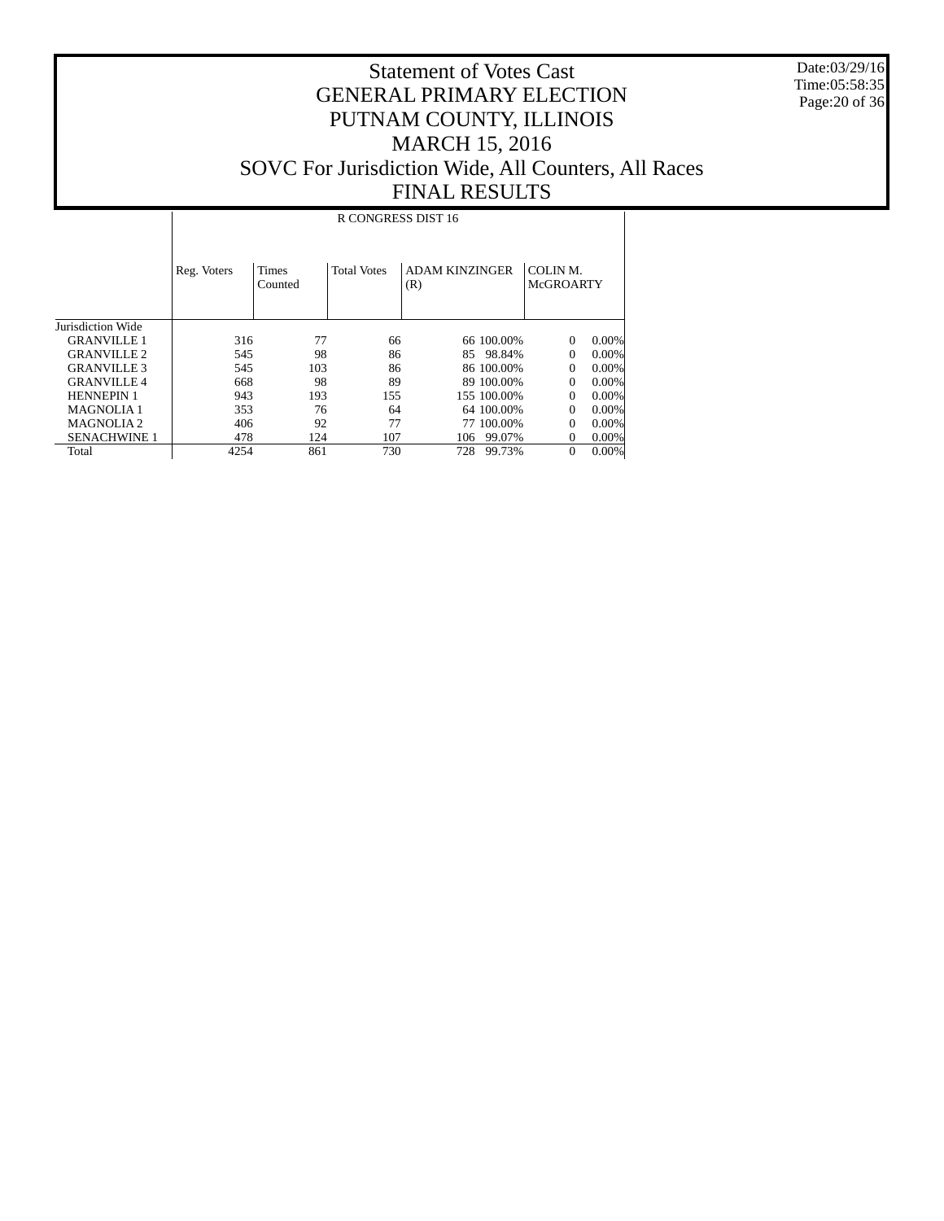Date:03/29/16 Time:05:58:35 Page:20 of 36

#### Statement of Votes Cast GENERAL PRIMARY ELECTION PUTNAM COUNTY, ILLINOIS MARCH 15, 2016 SOVC For Jurisdiction Wide, All Counters, All Races FINAL RESULTS

 Jurisdiction Wide GRANVILLE 1 GRANVILLE 2 GRANVILLE 3 GRANVILLE 4 HENNEPIN 1 MAGNOLIA 1 MAGNOLIA 2 SENACHWINE 1 Total Reg. Voters | Times Counted Total Votes | ADAM KINZINGER (R) COLIN M. McGROARTY R CONGRESS DIST 16 316 77 66 66 100.00% 0 0.00%<br>545 98 86 85 98.84% 0 0.00% 545 98 86 85 98.84% 0 0.00% 545 103 86 86 100.00% 0 0.00% 668 98 89 89 100.00% 0 0.00% 943 193 155 155 100.00% 0 0.00% 353 76 64 64 100.00% 0 0.00% 406 92 77 77 100.00% 0 0.00%<br>478 124 107 106 99.07% 0 0.00%  $\frac{478}{4254} \qquad \quad \frac{124}{861} \qquad \quad \frac{107}{730} \qquad \quad \frac{106}{728} \qquad \frac{99.07\%}{99.73\%} \qquad \quad 0 \quad \frac{0.00\%}{0.00\%}$ 728 99.73%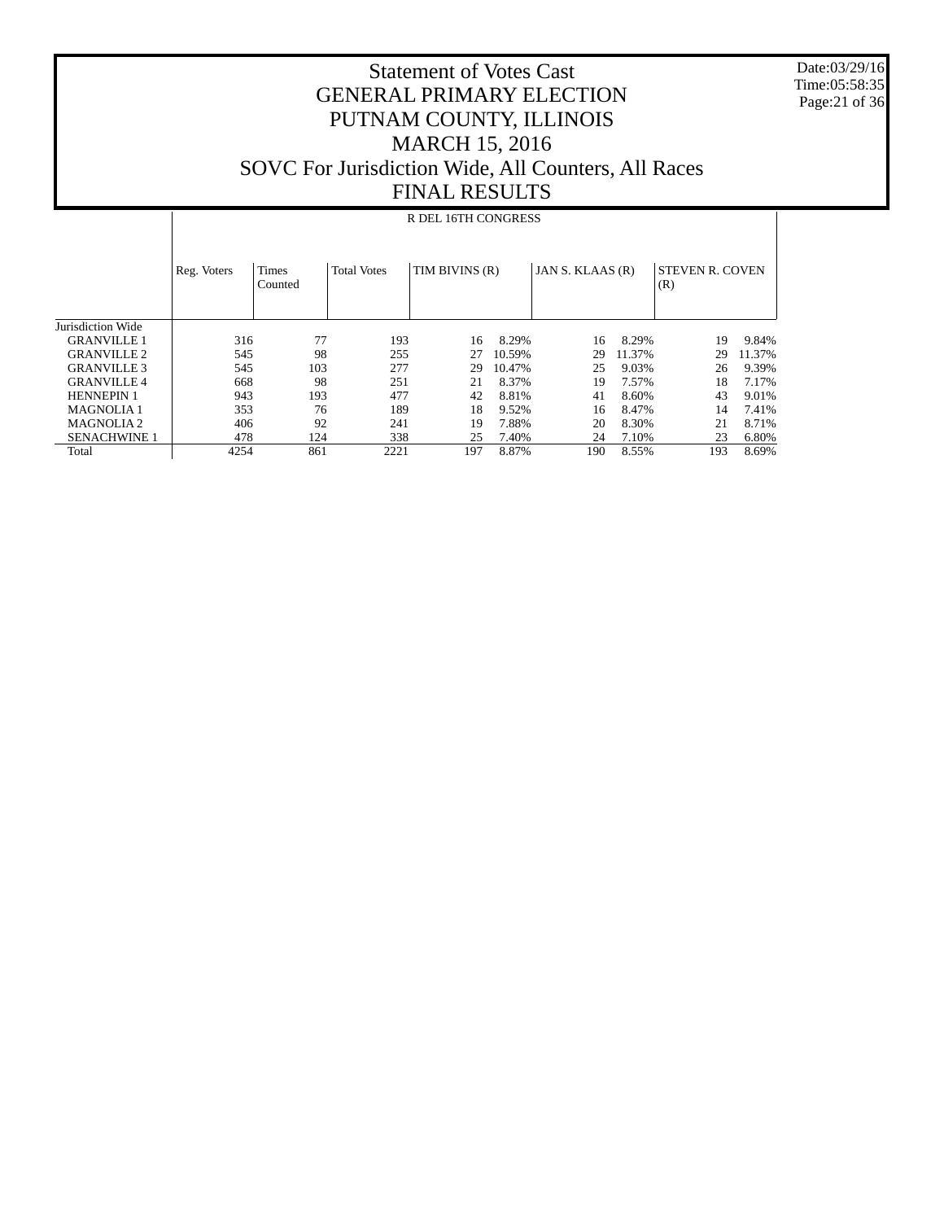Date:03/29/16 Time:05:58:35 Page:21 of 36

### Statement of Votes Cast GENERAL PRIMARY ELECTION PUTNAM COUNTY, ILLINOIS MARCH 15, 2016 SOVC For Jurisdiction Wide, All Counters, All Races FINAL RESULTS

#### R DEL 16TH CONGRESS

|                     | Reg. Voters | <b>Times</b><br>Counted | <b>Total Votes</b> | TIM BIVINS (R) |        | JAN S. KLAAS (R) |        | <b>STEVEN R. COVEN</b><br>(R) |        |
|---------------------|-------------|-------------------------|--------------------|----------------|--------|------------------|--------|-------------------------------|--------|
| Jurisdiction Wide   |             |                         |                    |                |        |                  |        |                               |        |
| <b>GRANVILLE 1</b>  | 316         | 77                      | 193                | 16             | 8.29%  | 16               | 8.29%  | 19                            | 9.84%  |
| <b>GRANVILLE 2</b>  | 545         | 98                      | 255                | 27             | 10.59% | 29               | 11.37% | 29                            | 11.37% |
| <b>GRANVILLE 3</b>  | 545         | 103                     | 277                | 29             | 10.47% | 25               | 9.03%  | 26                            | 9.39%  |
| <b>GRANVILLE 4</b>  | 668         | 98                      | 251                | 21             | 8.37%  | 19               | 7.57%  | 18                            | 7.17%  |
| <b>HENNEPIN 1</b>   | 943         | 193                     | 477                | 42             | 8.81%  | 41               | 8.60%  | 43                            | 9.01%  |
| <b>MAGNOLIA1</b>    | 353         | 76                      | 189                | 18             | 9.52%  | 16               | 8.47%  | 14                            | 7.41%  |
| <b>MAGNOLIA2</b>    | 406         | 92                      | 241                | 19             | 7.88%  | 20               | 8.30%  | 21                            | 8.71%  |
| <b>SENACHWINE 1</b> | 478         | 124                     | 338                | 25             | 7.40%  | 24               | 7.10%  | 23                            | 6.80%  |
| Total               | 4254        | 861                     | 2221               | 197            | 8.87%  | 190              | 8.55%  | 193                           | 8.69%  |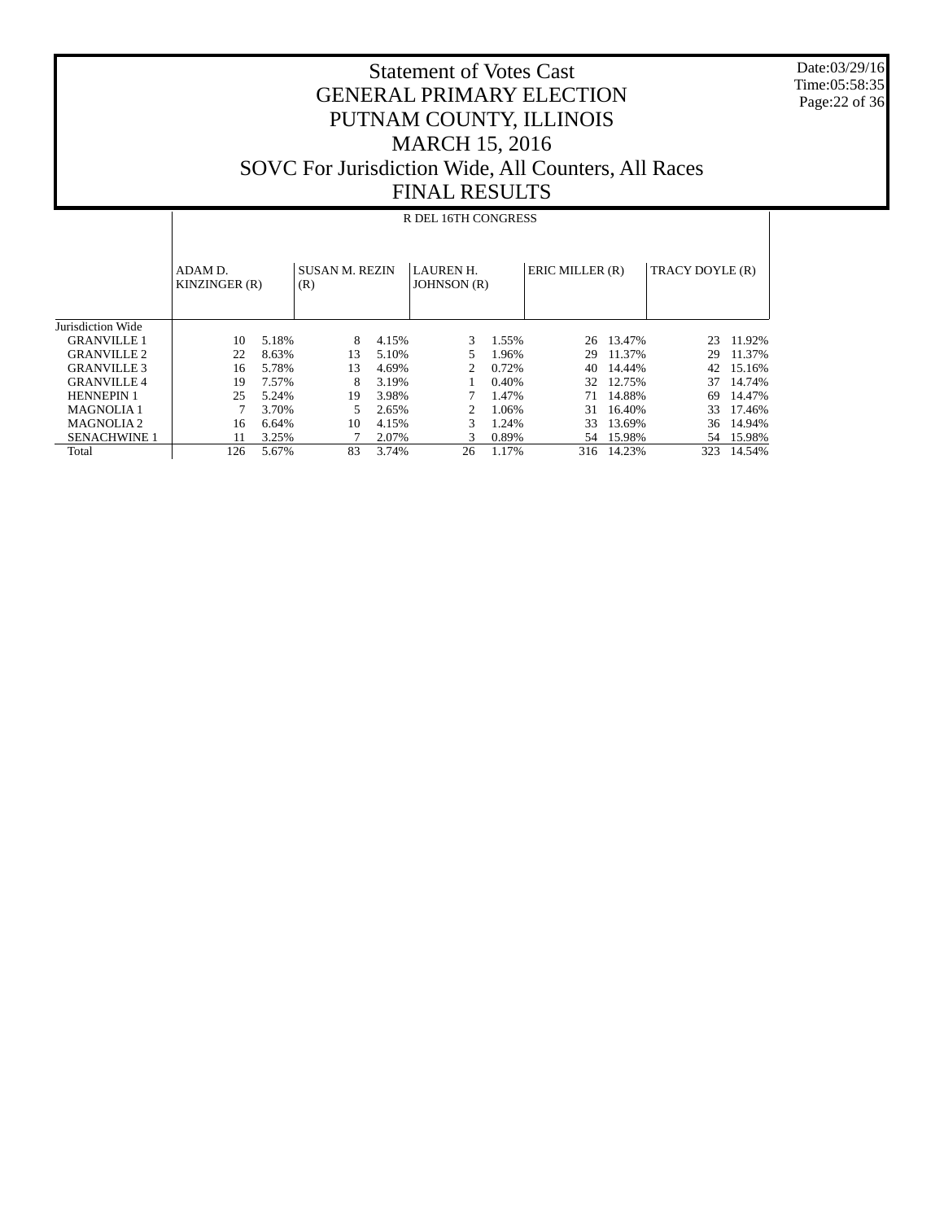Date:03/29/16 Time:05:58:35 Page:22 of 36

|                     |                          |       |     |                                           | R DEL 16TH CONGRESS         |             |                 |            |                 |        |
|---------------------|--------------------------|-------|-----|-------------------------------------------|-----------------------------|-------------|-----------------|------------|-----------------|--------|
|                     | ADAM D.<br>KINZINGER (R) |       | (R) | <b>SUSAN M. REZIN</b><br><b>LAUREN H.</b> |                             | JOHNSON (R) | ERIC MILLER (R) |            | TRACY DOYLE (R) |        |
| Jurisdiction Wide   |                          |       |     |                                           |                             |             |                 |            |                 |        |
| <b>GRANVILLE 1</b>  | 10                       | 5.18% | 8   | 4.15%                                     | 3                           | 1.55%       |                 | 26 13.47%  | 23              | 11.92% |
| <b>GRANVILLE 2</b>  | 22                       | 8.63% | 13  | 5.10%                                     |                             | 1.96%       | 29              | 11.37%     | 29              | 11.37% |
| <b>GRANVILLE 3</b>  | 16                       | 5.78% | 13  | 4.69%                                     | $\mathfrak{D}$              | 0.72%       | 40              | 14.44%     | 42              | 15.16% |
| <b>GRANVILLE 4</b>  | 19                       | 7.57% | 8   | 3.19%                                     |                             | 0.40%       | 32              | 12.75%     | 37              | 14.74% |
| <b>HENNEPIN 1</b>   | 25                       | 5.24% | 19  | 3.98%                                     |                             | 1.47%       | 71              | 14.88%     | 69              | 14.47% |
| <b>MAGNOLIA1</b>    |                          | 3.70% | 5   | 2.65%                                     | $\mathcal{D}_{\mathcal{L}}$ | 1.06%       | 31              | 16.40%     | 33              | 17.46% |
| <b>MAGNOLIA2</b>    | 16                       | 6.64% | 10  | 4.15%                                     | 3                           | 1.24%       | 33              | 13.69%     | 36              | 14.94% |
| <b>SENACHWINE 1</b> | 11                       | 3.25% |     | 2.07%                                     | 3                           | 0.89%       | 54              | 15.98%     | 54              | 15.98% |
| Total               | 126                      | 5.67% | 83  | 3.74%                                     | 26                          | 1.17%       |                 | 316 14.23% | 323             | 14.54% |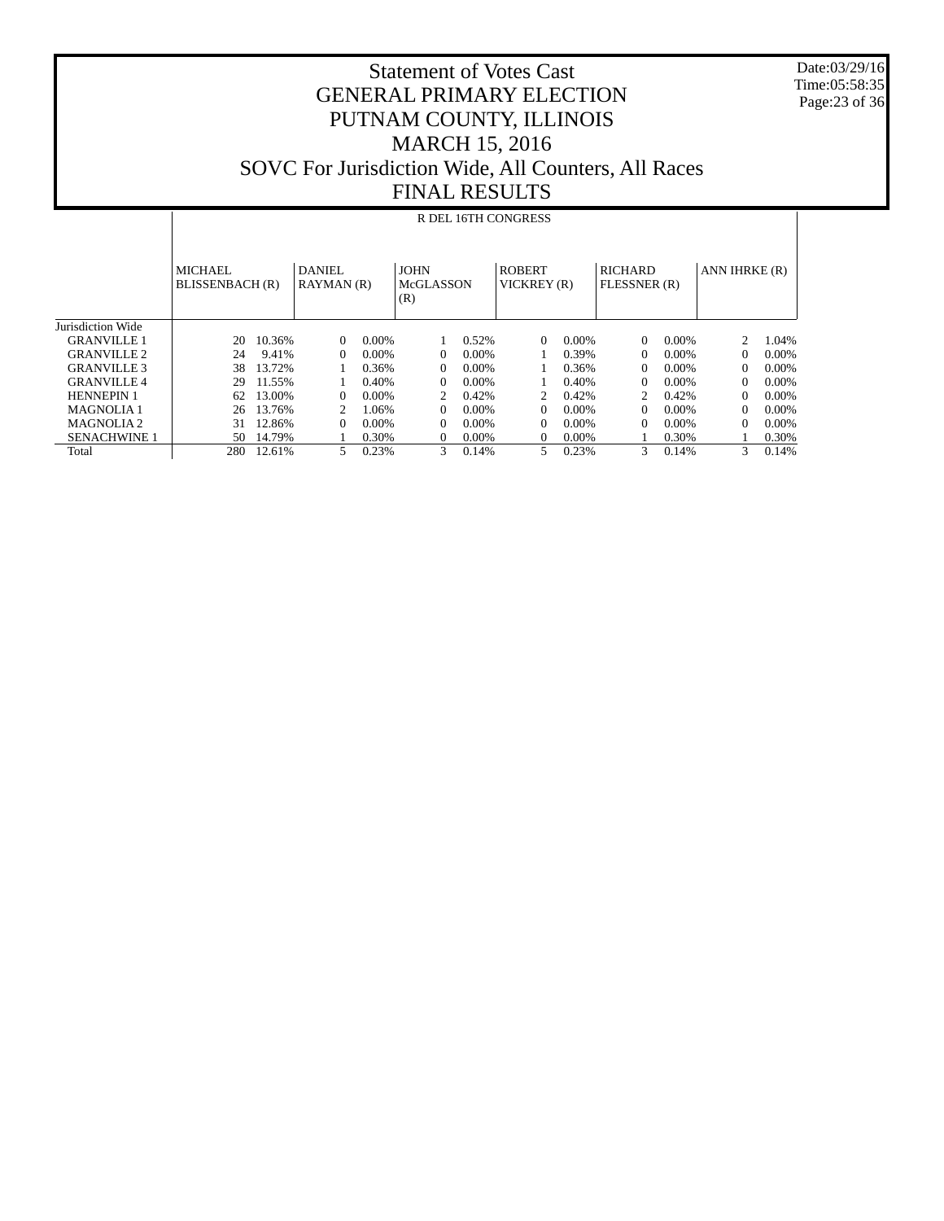Date:03/29/16 Time:05:58:35 Page:23 of 36

|                     |                                   |        |                      |          |                                        |          | R DEL 16TH CONGRESS          |          |                                |          |               |          |
|---------------------|-----------------------------------|--------|----------------------|----------|----------------------------------------|----------|------------------------------|----------|--------------------------------|----------|---------------|----------|
|                     | <b>MICHAEL</b><br>BLISSENBACH (R) |        | DANIEL<br>RAYMAN (R) |          | <b>JOHN</b><br><b>McGLASSON</b><br>(R) |          | <b>ROBERT</b><br>VICKREY (R) |          | <b>RICHARD</b><br>FLESSNER (R) |          | ANN IHRKE (R) |          |
| Jurisdiction Wide   |                                   |        |                      |          |                                        |          |                              |          |                                |          |               |          |
| GRANVILLE 1         | 20                                | 10.36% | $\Omega$             | $0.00\%$ |                                        | 0.52%    | 0                            | $0.00\%$ | $\Omega$                       | 0.00%    | 2             | 1.04%    |
| <b>GRANVILLE 2</b>  | 24                                | 9.41%  | 0                    | $0.00\%$ | 0                                      | $0.00\%$ |                              | 0.39%    | 0                              | $0.00\%$ | $\Omega$      | $0.00\%$ |
| <b>GRANVILLE 3</b>  | 38                                | 13.72% |                      | 0.36%    | 0                                      | 0.00%    |                              | 0.36%    | 0                              | $0.00\%$ | 0             | $0.00\%$ |
| <b>GRANVILLE 4</b>  | 29                                | 11.55% |                      | 0.40%    | 0                                      | 0.00%    |                              | 0.40%    | 0                              | 0.00%    | $\Omega$      | $0.00\%$ |
| <b>HENNEPIN 1</b>   | 62                                | 13.00% | 0                    | $0.00\%$ | 2                                      | 0.42%    | 2                            | 0.42%    | 2                              | 0.42%    | 0             | $0.00\%$ |
| <b>MAGNOLIA1</b>    | 26                                | 13.76% |                      | 1.06%    | $\Omega$                               | 0.00%    | 0                            | $0.00\%$ | $\Omega$                       | $0.00\%$ | $\Omega$      | $0.00\%$ |
| <b>MAGNOLIA2</b>    | 31                                | 12.86% | 0                    | $0.00\%$ | $\Omega$                               | 0.00%    | 0                            | $0.00\%$ | 0                              | 0.00%    | $\Omega$      | $0.00\%$ |
| <b>SENACHWINE 1</b> | 50                                | 14.79% |                      | 0.30%    | 0                                      | $0.00\%$ | 0                            | $0.00\%$ |                                | 0.30%    |               | 0.30%    |
| Total               | 280                               | 12.61% | 5.                   | 0.23%    | $\mathcal{F}$                          | 0.14%    | 5.                           | 0.23%    | 3                              | 0.14%    | 3             | 0.14%    |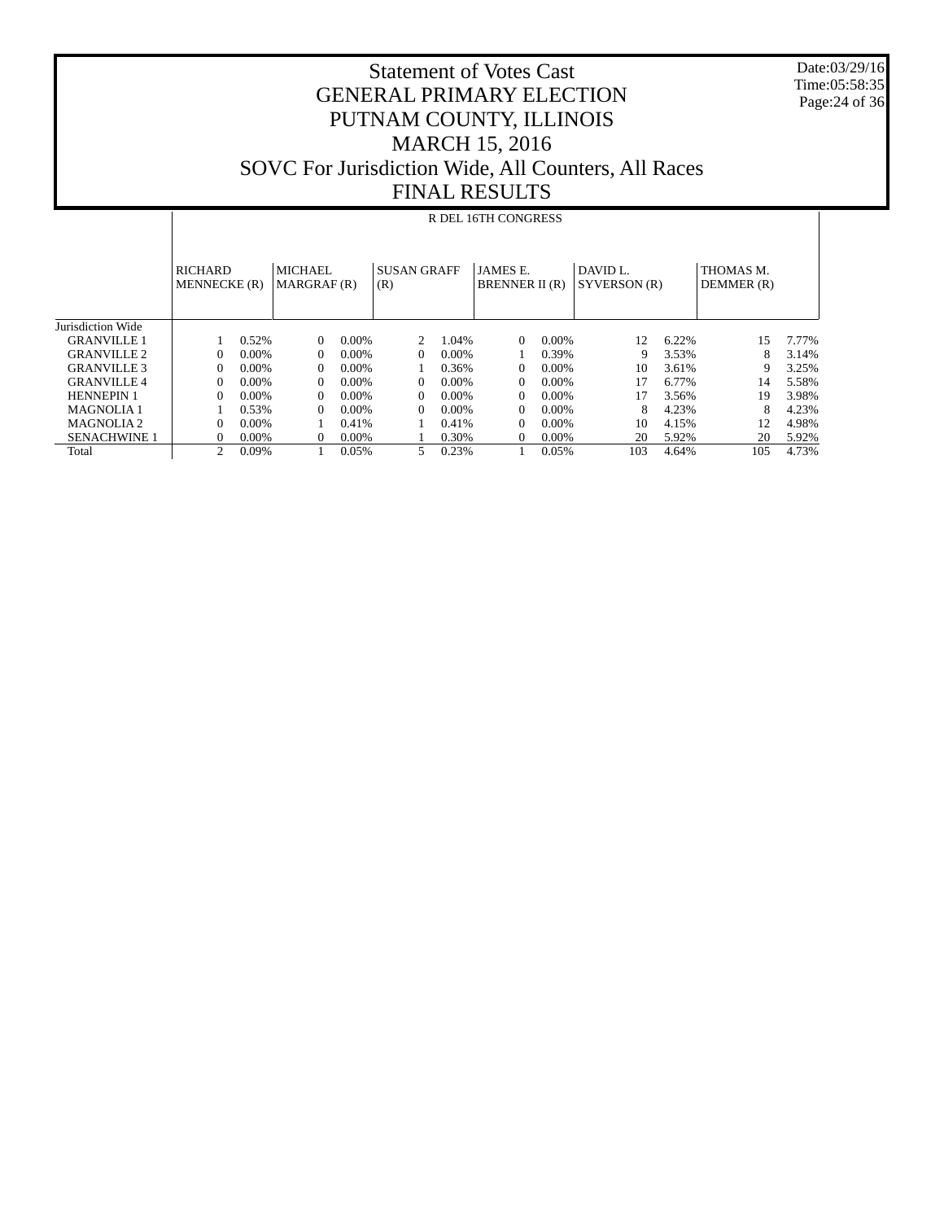Date:03/29/16 Time:05:58:35 Page:24 of 36

|                       |                                       |          |                        |          |                           |          | R DEL 16TH CONGRESS               |          |                                    |       |                         |       |
|-----------------------|---------------------------------------|----------|------------------------|----------|---------------------------|----------|-----------------------------------|----------|------------------------------------|-------|-------------------------|-------|
|                       | <b>RICHARD</b><br><b>MENNECKE</b> (R) |          | MICHAEL<br>MARGRAF (R) |          | <b>SUSAN GRAFF</b><br>(R) |          | <b>JAMES E.</b><br>BRENNER II (R) |          | DAVID <sub>L</sub><br>SYVERSON (R) |       | THOMAS M.<br>DEMMER (R) |       |
| Jurisdiction Wide     |                                       |          |                        |          |                           |          |                                   |          |                                    |       |                         |       |
| <b>GRANVILLE 1</b>    |                                       | 0.52%    | $\Omega$               | $0.00\%$ | $\mathfrak{D}$            | 1.04%    | $\Omega$                          | $0.00\%$ | 12                                 | 6.22% | 15                      | 7.77% |
| <b>GRANVILLE 2</b>    | $\Omega$                              | $0.00\%$ | 0                      | $0.00\%$ | 0                         | $0.00\%$ |                                   | 0.39%    | 9                                  | 3.53% | 8                       | 3.14% |
| <b>GRANVILLE 3</b>    | $\Omega$                              | $0.00\%$ | $\Omega$               | $0.00\%$ |                           | 0.36%    | $\Omega$                          | $0.00\%$ | 10                                 | 3.61% | Q                       | 3.25% |
| <b>GRANVILLE 4</b>    | $\Omega$                              | 0.00%    | $\Omega$               | $0.00\%$ | $\Omega$                  | 0.00%    | $\Omega$                          | $0.00\%$ | 17                                 | 6.77% | 14                      | 5.58% |
| <b>HENNEPIN 1</b>     | $\Omega$                              | $0.00\%$ | $\Omega$               | $0.00\%$ | $\Omega$                  | $0.00\%$ | $\Omega$                          | $0.00\%$ | 17                                 | 3.56% | 19                      | 3.98% |
| <b>MAGNOLIA1</b>      |                                       | 0.53%    | $\Omega$               | $0.00\%$ | $\Omega$                  | $0.00\%$ | $\Omega$                          | $0.00\%$ | 8                                  | 4.23% | 8                       | 4.23% |
| MAGNOLIA <sub>2</sub> | $\Omega$                              | 0.00%    |                        | 0.41%    |                           | 0.41%    | $\Omega$                          | $0.00\%$ | 10                                 | 4.15% | 12                      | 4.98% |
| <b>SENACHWINE 1</b>   | $\Omega$                              | 0.00%    | 0                      | $0.00\%$ |                           | 0.30%    | $\Omega$                          | $0.00\%$ | 20                                 | 5.92% | 20                      | 5.92% |
| Total                 | 2                                     | 0.09%    |                        | 0.05%    | 5.                        | 0.23%    |                                   | 0.05%    | 103                                | 4.64% | 105                     | 4.73% |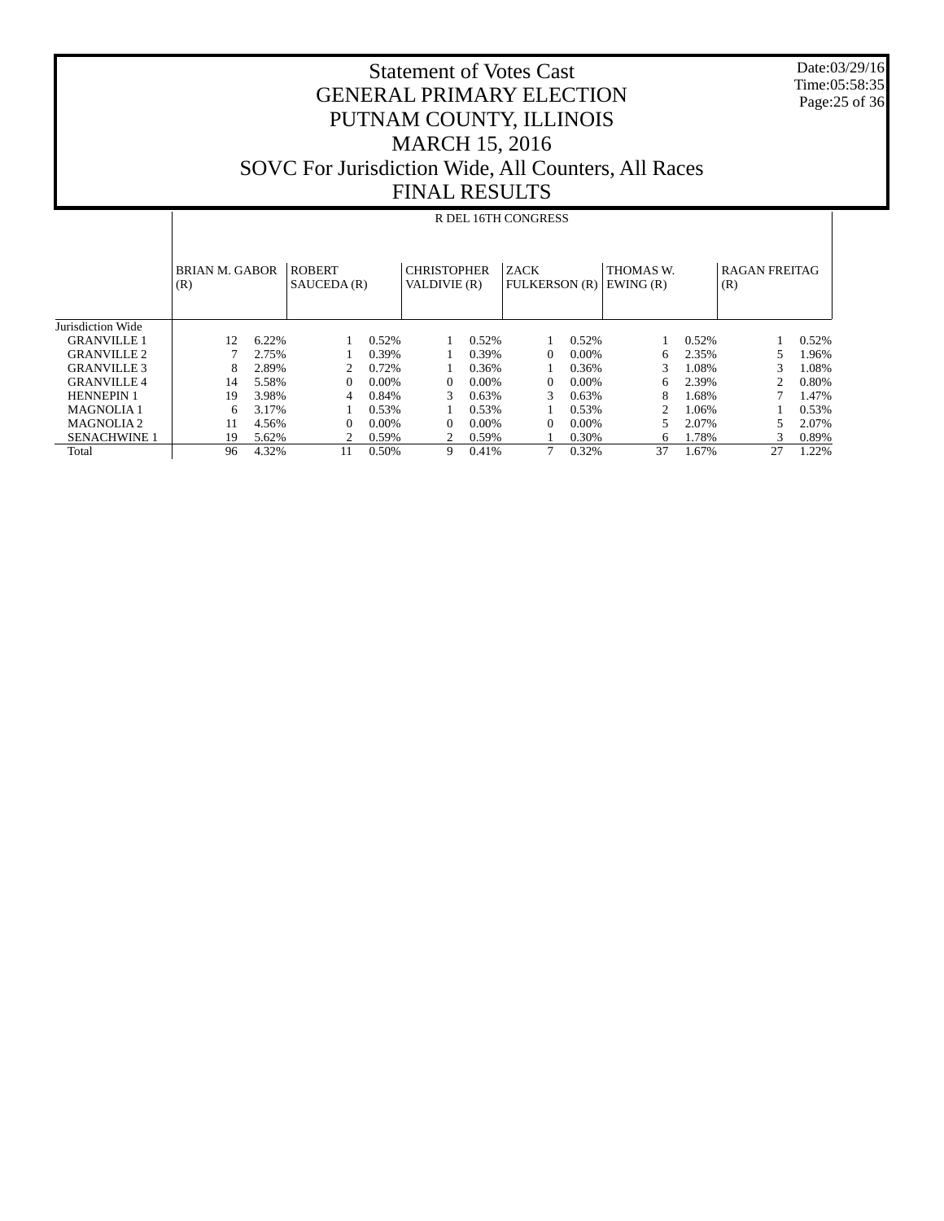Statement of Votes Cast GENERAL PRIMARY ELECTION PUTNAM COUNTY, ILLINOIS MARCH 15, 2016 SOVC For Jurisdiction Wide, All Counters, All Races FINAL RESULTS

 Date:03/29/16 Time:05:58:35 Page:25 of 36

|                       |                              |       |                              |          | , ,, ,, ,, , , , , , , , , ,       |       |                                     |          |                       |       |                             |       |
|-----------------------|------------------------------|-------|------------------------------|----------|------------------------------------|-------|-------------------------------------|----------|-----------------------|-------|-----------------------------|-------|
|                       |                              |       |                              |          |                                    |       | R DEL 16TH CONGRESS                 |          |                       |       |                             |       |
|                       | <b>BRIAN M. GABOR</b><br>(R) |       | <b>ROBERT</b><br>SAUCEDA (R) |          | <b>CHRISTOPHER</b><br>VALDIVIE (R) |       | <b>ZACK</b><br><b>FULKERSON</b> (R) |          | THOMAS W.<br>EWING(R) |       | <b>RAGAN FREITAG</b><br>(R) |       |
| Jurisdiction Wide     |                              |       |                              |          |                                    |       |                                     |          |                       |       |                             |       |
| <b>GRANVILLE 1</b>    | 12                           | 6.22% |                              | 0.52%    |                                    | 0.52% |                                     | 0.52%    |                       | 0.52% |                             | 0.52% |
| <b>GRANVILLE 2</b>    |                              | 2.75% |                              | 0.39%    |                                    | 0.39% | $\Omega$                            | $0.00\%$ | 6                     | 2.35% | 5                           | 1.96% |
| <b>GRANVILLE 3</b>    | 8                            | 2.89% | 2                            | 0.72%    |                                    | 0.36% |                                     | 0.36%    | 3                     | 1.08% | 3                           | 1.08% |
| <b>GRANVILLE 4</b>    | 14                           | 5.58% | $\mathbf{0}$                 | $0.00\%$ | $\Omega$                           | 0.00% | $\Omega$                            | $0.00\%$ | 6                     | 2.39% | $\mathfrak{D}$              | 0.80% |
| <b>HENNEPIN 1</b>     | 19                           | 3.98% | 4                            | 0.84%    | 3                                  | 0.63% | 3                                   | 0.63%    | 8                     | 1.68% |                             | 1.47% |
| <b>MAGNOLIA1</b>      | 6                            | 3.17% |                              | 0.53%    |                                    | 0.53% |                                     | 0.53%    | 2                     | 1.06% |                             | 0.53% |
| MAGNOLIA <sub>2</sub> | 11                           | 4.56% | $\Omega$                     | 0.00%    | $\Omega$                           | 0.00% | $\Omega$                            | $0.00\%$ | 5                     | 2.07% | 5                           | 2.07% |
| <b>SENACHWINE 1</b>   | 19                           | 5.62% | 2                            | 0.59%    |                                    | 0.59% |                                     | 0.30%    | 6                     | 1.78% | 3                           | 0.89% |
| Total                 | 96                           | 4.32% | 11                           | 0.50%    | 9                                  | 0.41% |                                     | 0.32%    | 37                    | 1.67% | 27                          | 1.22% |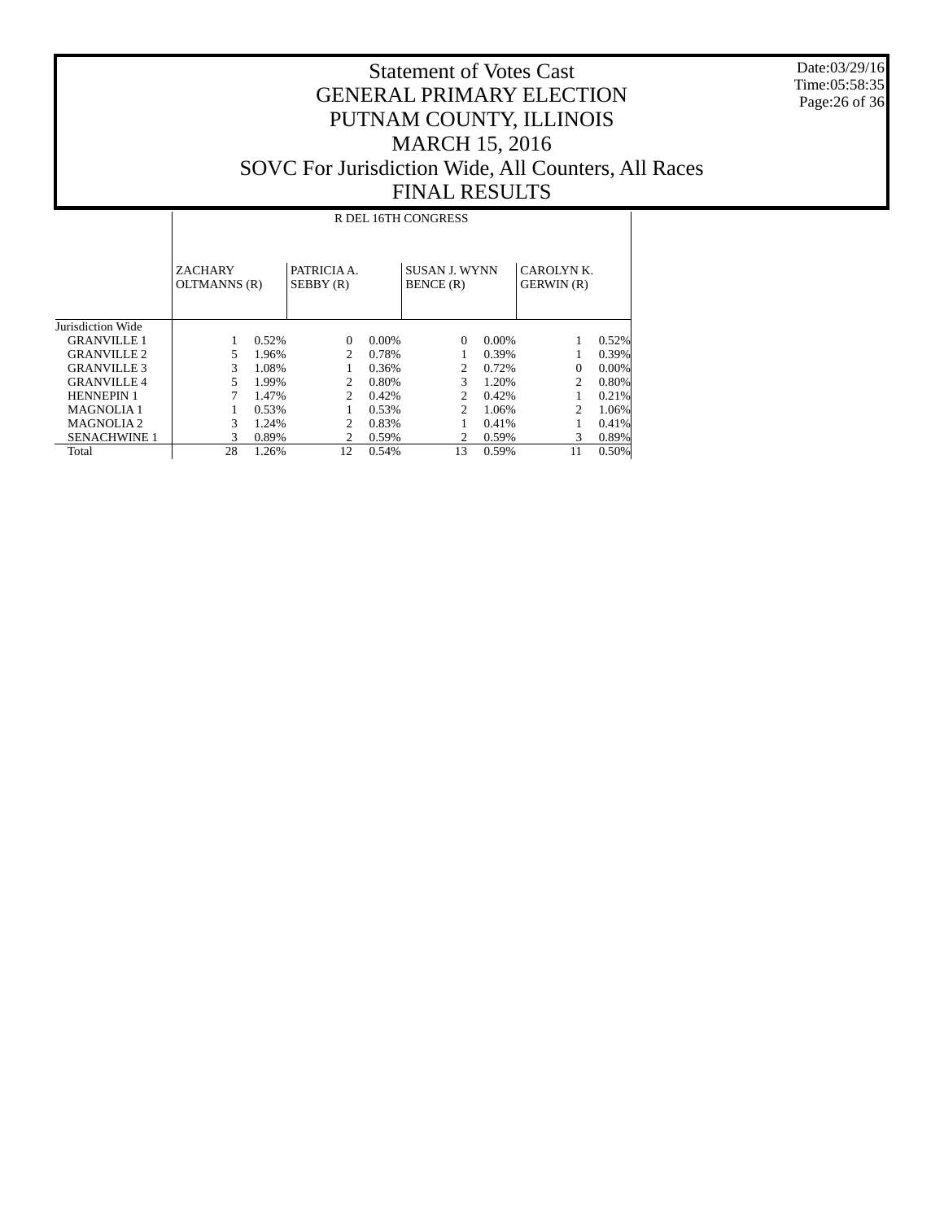Date:03/29/16 Time:05:58:35 Page:26 of 36

|                       | R DEL 16TH CONGRESS            |       |                               |       |                                   |          |                                |          |  |  |
|-----------------------|--------------------------------|-------|-------------------------------|-------|-----------------------------------|----------|--------------------------------|----------|--|--|
|                       | <b>ZACHARY</b><br>OLTMANNS (R) |       | PATRICIA A.<br>SEBBY(R)       |       | <b>SUSAN J. WYNN</b><br>BENCE (R) |          | CAROLYNK.<br><b>GERWIN</b> (R) |          |  |  |
| Jurisdiction Wide     |                                |       |                               |       |                                   |          |                                |          |  |  |
| <b>GRANVILLE 1</b>    |                                | 0.52% | $\Omega$                      | 0.00% | $\Omega$                          | $0.00\%$ |                                | 0.52%    |  |  |
| <b>GRANVILLE 2</b>    | 5                              | 1.96% | $\mathfrak{D}$                | 0.78% |                                   | 0.39%    |                                | 0.39%    |  |  |
| <b>GRANVILLE 3</b>    | 3                              | 1.08% |                               | 0.36% | $\mathfrak{D}$                    | 0.72%    | $\Omega$                       | $0.00\%$ |  |  |
| <b>GRANVILLE 4</b>    | 5                              | 1.99% | 2                             | 0.80% | 3                                 | 1.20%    | 2                              | 0.80%    |  |  |
| <b>HENNEPIN 1</b>     |                                | 1.47% | $\mathfrak{D}_{\mathfrak{p}}$ | 0.42% | 2.                                | 0.42%    |                                | 0.21%    |  |  |
| <b>MAGNOLIA1</b>      |                                | 0.53% |                               | 0.53% | $\mathcal{D}$                     | 1.06%    | $\mathfrak{D}$                 | 1.06%    |  |  |
| MAGNOLIA <sub>2</sub> | 3                              | 1.24% | $\mathfrak{D}$                | 0.83% |                                   | 0.41%    |                                | 0.41%    |  |  |
| <b>SENACHWINE 1</b>   | 3                              | 0.89% | 2                             | 0.59% |                                   | 0.59%    | 3                              | 0.89%    |  |  |
| Total                 | 28                             | 1.26% | 12                            | 0.54% | 13                                | 0.59%    | 11                             | 0.50%    |  |  |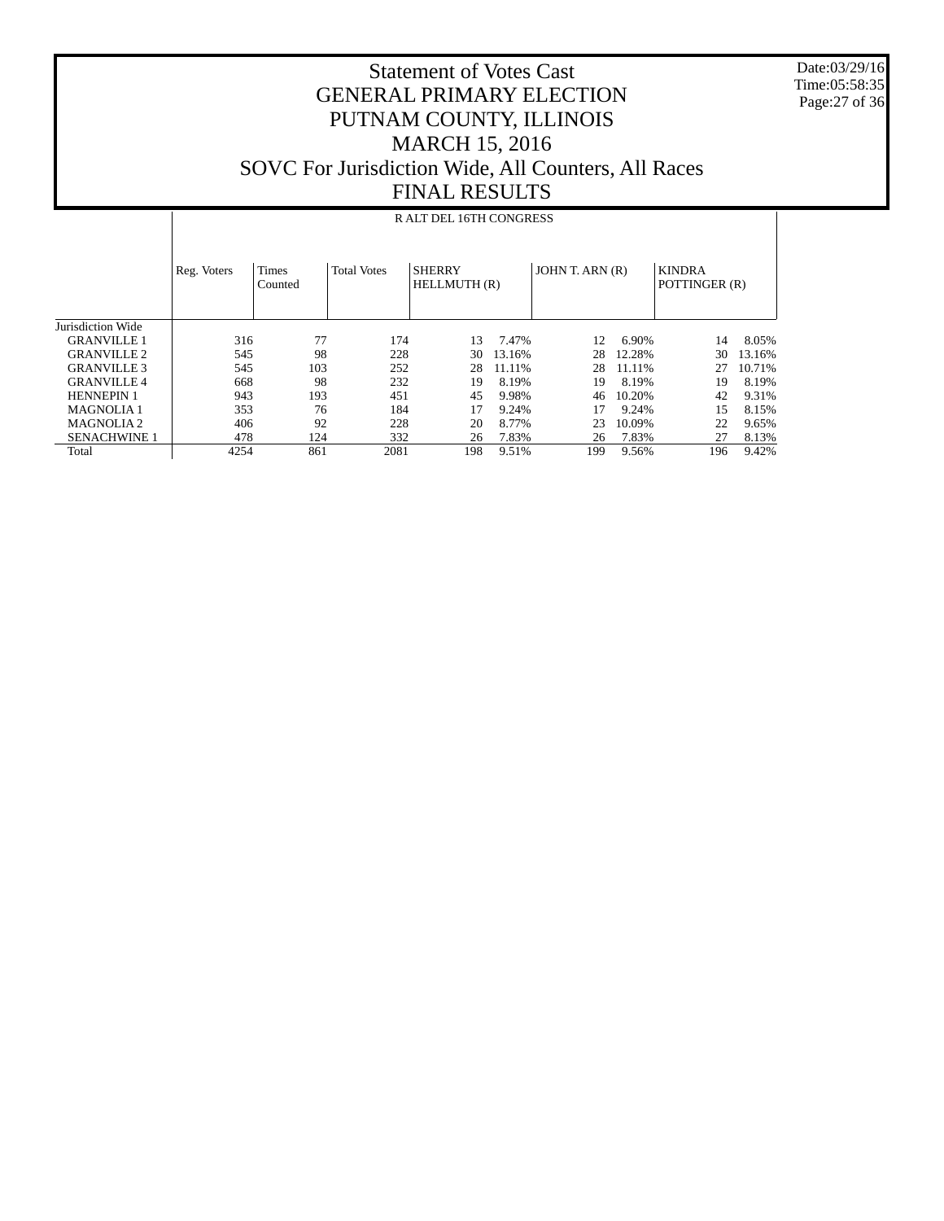Date:03/29/16 Time:05:58:35 Page:27 of 36

|                     |             |                                               |      | R ALT DEL 16TH CONGRESS       |        |                 |        |                                |        |
|---------------------|-------------|-----------------------------------------------|------|-------------------------------|--------|-----------------|--------|--------------------------------|--------|
|                     | Reg. Voters | <b>Times</b><br><b>Total Votes</b><br>Counted |      | <b>SHERRY</b><br>HELLMUTH (R) |        | JOHN T. ARN (R) |        | <b>KINDRA</b><br>POTTINGER (R) |        |
| Jurisdiction Wide   |             |                                               |      |                               |        |                 |        |                                |        |
| <b>GRANVILLE 1</b>  | 316         | 77                                            | 174  | 13                            | 7.47%  | 12              | 6.90%  | 14                             | 8.05%  |
| <b>GRANVILLE 2</b>  | 545         | 98                                            | 228  | 30                            | 13.16% | 28              | 12.28% | 30                             | 13.16% |
| <b>GRANVILLE 3</b>  | 545         | 103                                           | 252  | 28                            | 11.11% | 28              | 11.11% | 27                             | 10.71% |
| <b>GRANVILLE 4</b>  | 668         | 98                                            | 232  | 19                            | 8.19%  | 19              | 8.19%  | 19                             | 8.19%  |
| <b>HENNEPIN 1</b>   | 943         | 193                                           | 451  | 45                            | 9.98%  | 46              | 10.20% | 42                             | 9.31%  |
| <b>MAGNOLIA1</b>    | 353         | 76                                            | 184  | 17                            | 9.24%  | 17              | 9.24%  | 15                             | 8.15%  |
| <b>MAGNOLIA2</b>    | 406         | 92                                            | 228  | 20                            | 8.77%  | 23              | 10.09% | 22                             | 9.65%  |
| <b>SENACHWINE 1</b> | 478         | 124                                           | 332  | 26                            | 7.83%  | 26              | 7.83%  | 27                             | 8.13%  |
| Total               | 4254        | 861                                           | 2081 | 198                           | 9.51%  | 199             | 9.56%  | 196                            | 9.42%  |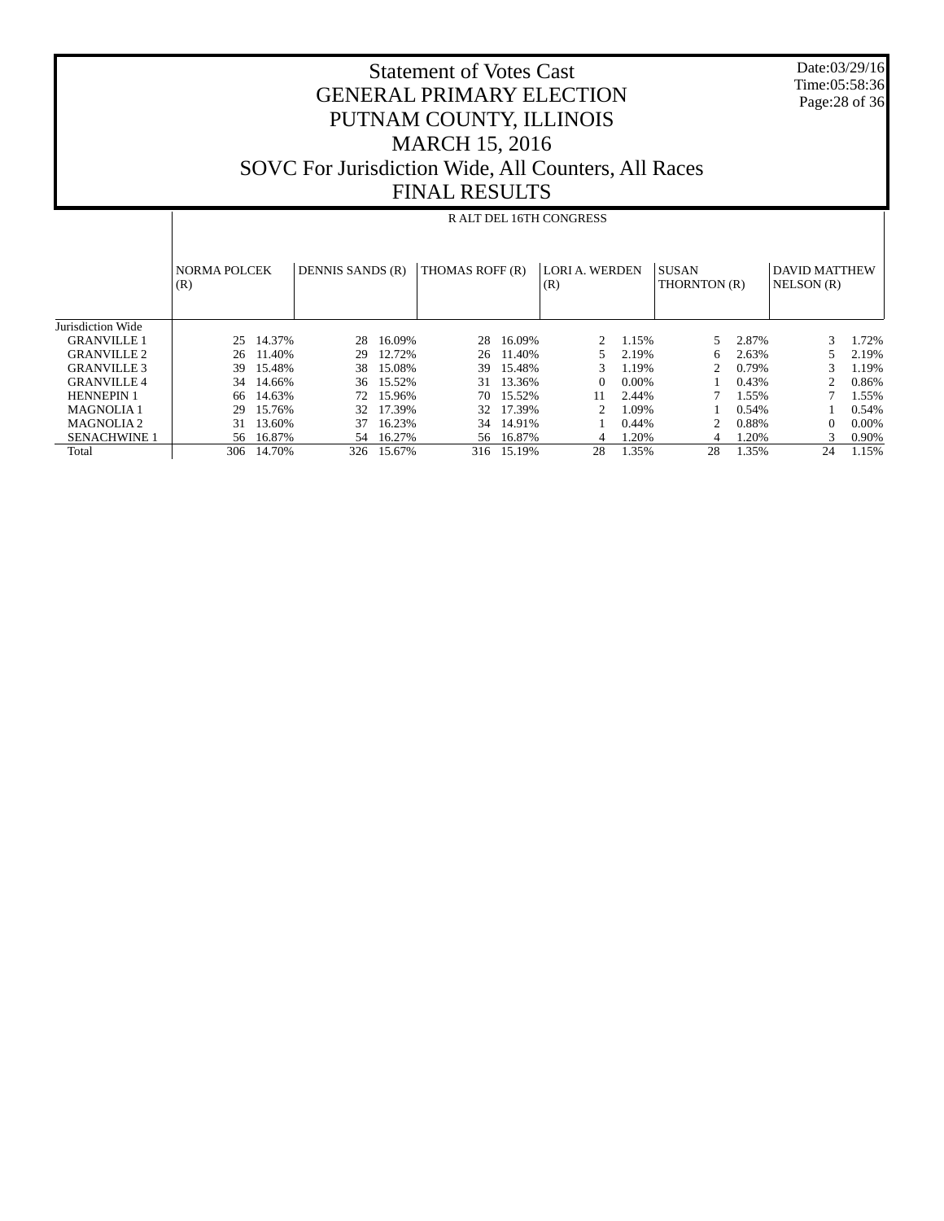| <b>Statement of Votes Cast</b>                      |
|-----------------------------------------------------|
| <b>GENERAL PRIMARY ELECTION</b>                     |
| PUTNAM COUNTY, ILLINOIS                             |
| <b>MARCH 15, 2016</b>                               |
| SOVC For Jurisdiction Wide, All Counters, All Races |
| <b>FINAL RESULTS</b>                                |

 Date:03/29/16 Time:05:58:36 Page:28 of 36

|                     |                            | R ALT DEL 16TH CONGRESS |                  |           |                 |            |                              |       |                              |       |                                    |       |  |
|---------------------|----------------------------|-------------------------|------------------|-----------|-----------------|------------|------------------------------|-------|------------------------------|-------|------------------------------------|-------|--|
|                     | <b>NORMA POLCEK</b><br>(R) |                         | DENNIS SANDS (R) |           | THOMAS ROFF (R) |            | <b>LORI A. WERDEN</b><br>(R) |       | <b>SUSAN</b><br>THORNTON (R) |       | <b>DAVID MATTHEW</b><br>NELSON (R) |       |  |
| Jurisdiction Wide   |                            |                         |                  |           |                 |            |                              |       |                              |       |                                    |       |  |
| <b>GRANVILLE 1</b>  | 25                         | 14.37%                  | 28               | 16.09%    | 28              | 16.09%     | 2                            | 1.15% |                              | 2.87% | 3                                  | 1.72% |  |
| <b>GRANVILLE 2</b>  | 26                         | 11.40%                  | 29               | 12.72%    | 26              | 11.40%     |                              | 2.19% | 6.                           | 2.63% |                                    | 2.19% |  |
| <b>GRANVILLE 3</b>  | 39.                        | 15.48%                  | 38               | 15.08%    | 39.             | 15.48%     |                              | 1.19% |                              | 0.79% | 3                                  | 1.19% |  |
| <b>GRANVILLE 4</b>  | 34                         | 14.66%                  | 36               | 15.52%    |                 | 31 13.36%  | $\theta$                     | 0.00% |                              | 0.43% |                                    | 0.86% |  |
| <b>HENNEPIN 1</b>   | 66                         | 14.63%                  |                  | 72 15.96% | 70              | 15.52%     | 11                           | 2.44% |                              | 1.55% |                                    | 1.55% |  |
| <b>MAGNOLIA1</b>    | 29                         | 15.76%                  |                  | 32 17.39% | 32              | 17.39%     |                              | 1.09% |                              | 0.54% |                                    | 0.54% |  |
| <b>MAGNOLIA2</b>    | 31                         | 13.60%                  | 37               | 16.23%    | 34              | 14.91%     |                              | 0.44% |                              | 0.88% | 0                                  | 0.00% |  |
| <b>SENACHWINE 1</b> |                            | 56 16.87%               | 54               | 16.27%    |                 | 56 16.87%  | 4                            | 1.20% | 4                            | 1.20% | 3                                  | 0.90% |  |
| Total               | 306                        | 14.70%                  | 326              | 15.67%    |                 | 316 15.19% | 28                           | 1.35% | 28                           | 1.35% | 24                                 | 1.15% |  |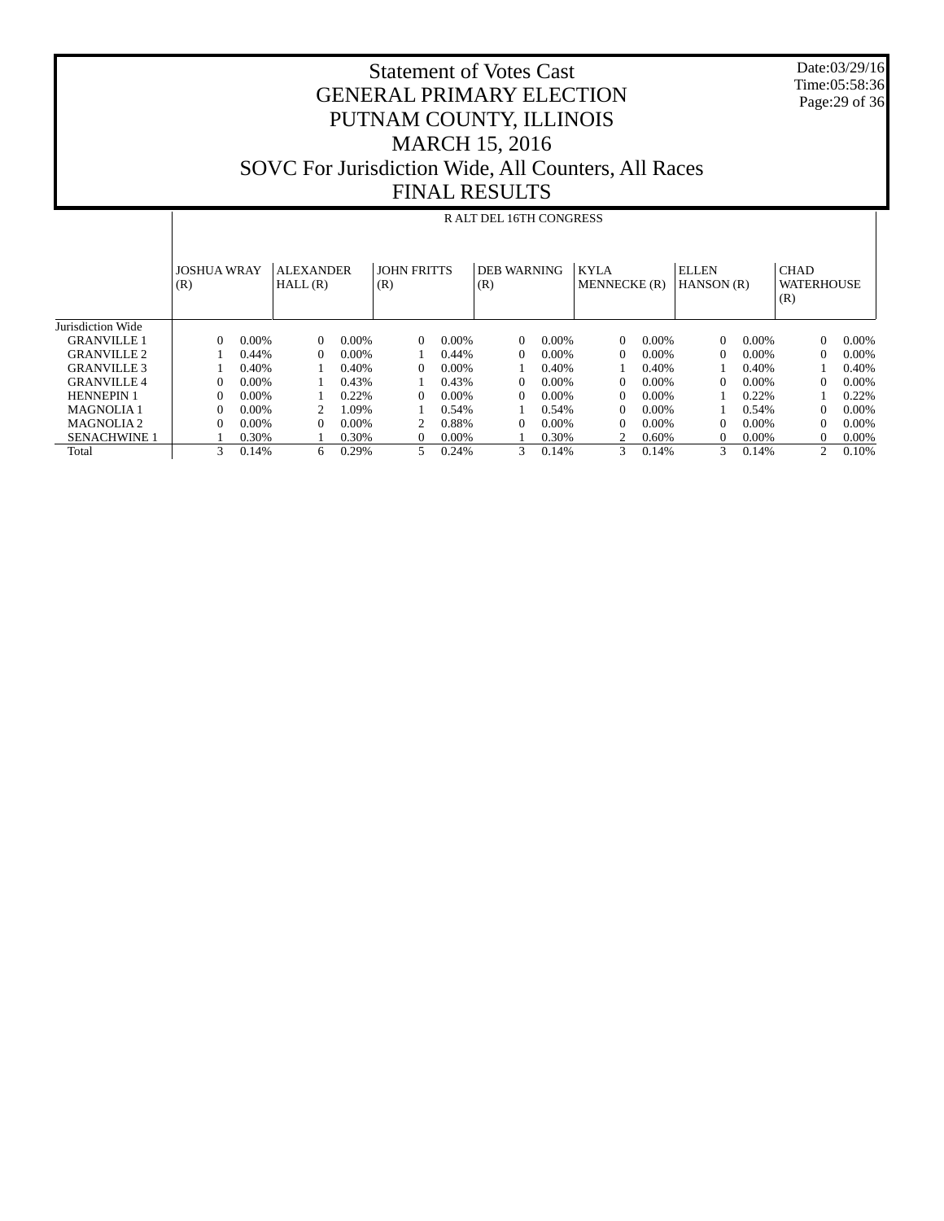### Statement of Votes Cast GENERAL PRIMARY ELECTION PUTNAM COUNTY, ILLINOIS MARCH 15, 2016 SOVC For Jurisdiction Wide, All Counters, All Races FINAL RESULTS

 Date:03/29/16 Time:05:58:36 Page:29 of 36

|                       |                           |          |                             |       |                           |          | R ALT DEL 16TH CONGRESS   |       |                             |          |                            |          |                                         |          |
|-----------------------|---------------------------|----------|-----------------------------|-------|---------------------------|----------|---------------------------|-------|-----------------------------|----------|----------------------------|----------|-----------------------------------------|----------|
|                       | <b>JOSHUA WRAY</b><br>(R) |          | <b>ALEXANDER</b><br>HALL(R) |       | <b>JOHN FRITTS</b><br>(R) |          | <b>DEB WARNING</b><br>(R) |       | <b>KYLA</b><br>MENNECKE (R) |          | <b>ELLEN</b><br>HANSON (R) |          | <b>CHAD</b><br><b>WATERHOUSE</b><br>(R) |          |
| Jurisdiction Wide     |                           |          |                             |       |                           |          |                           |       |                             |          |                            |          |                                         |          |
| <b>GRANVILLE 1</b>    | $\Omega$                  | 0.00%    | $\mathbf{0}$                | 0.00% | $\Omega$                  | $0.00\%$ | $\theta$                  | 0.00% | $\Omega$                    | $0.00\%$ | $\Omega$                   | $0.00\%$ | $\Omega$                                | $0.00\%$ |
| <b>GRANVILLE 2</b>    |                           | 0.44%    | $\Omega$                    | 0.00% |                           | 0.44%    | $\Omega$                  | 0.00% | $\Omega$                    | $0.00\%$ | $\Omega$                   | 0.00%    | $\Omega$                                | $0.00\%$ |
| <b>GRANVILLE 3</b>    |                           | 0.40%    |                             | 0.40% | $\Omega$                  | 0.00%    |                           | 0.40% |                             | 0.40%    |                            | 0.40%    |                                         | 0.40%    |
| <b>GRANVILLE 4</b>    | $\Omega$                  | $0.00\%$ |                             | 0.43% |                           | 0.43%    | $\Omega$                  | 0.00% | $\Omega$                    | $0.00\%$ | $\Omega$                   | 0.00%    | $\Omega$                                | $0.00\%$ |
| <b>HENNEPIN 1</b>     | $\Omega$                  | $0.00\%$ |                             | 0.22% | $\Omega$                  | 0.00%    | $\Omega$                  | 0.00% | 0                           | $0.00\%$ |                            | 0.22%    |                                         | 0.22%    |
| <b>MAGNOLIA1</b>      | $\Omega$                  | $0.00\%$ |                             | 1.09% |                           | 0.54%    |                           | 0.54% | 0                           | $0.00\%$ |                            | 0.54%    | $\Omega$                                | $0.00\%$ |
| MAGNOLIA <sub>2</sub> | $\Omega$                  | $0.00\%$ | $\Omega$                    | 0.00% | 2                         | 0.88%    | $\Omega$                  | 0.00% | $\Omega$                    | 0.00%    | $\Omega$                   | 0.00%    | $\Omega$                                | 0.00%    |
| <b>SENACHWINE 1</b>   |                           | 0.30%    |                             | 0.30% | $\Omega$                  | $0.00\%$ |                           | 0.30% |                             | 0.60%    | $\Omega$                   | 0.00%    | $\Omega$                                | $0.00\%$ |
| Total                 | 3                         | 0.14%    | 6                           | 0.29% | 5                         | 0.24%    | 3                         | 0.14% | 3                           | 0.14%    | 3                          | 0.14%    | $\overline{c}$                          | 0.10%    |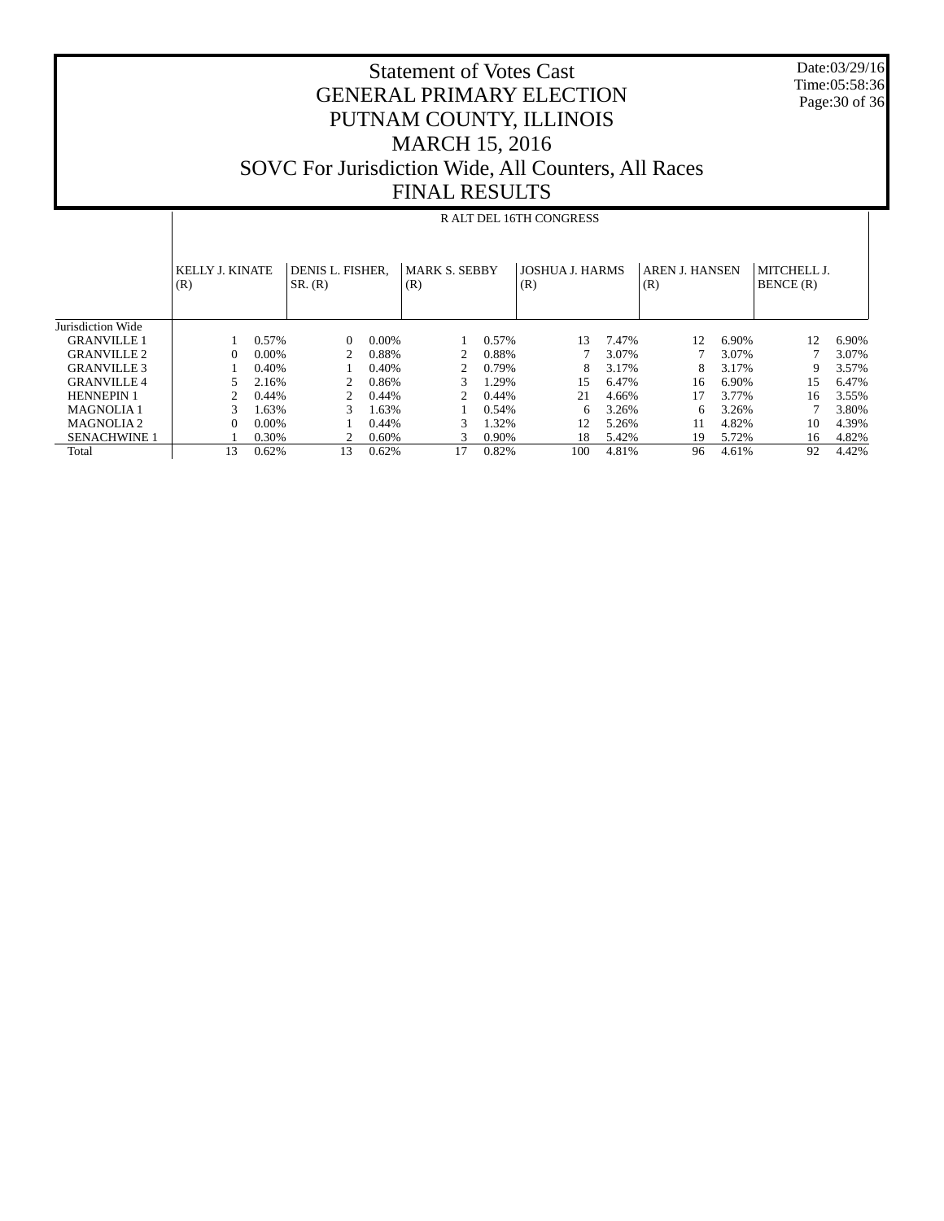#### Statement of Votes Cast GENERAL PRIMARY ELECTION PUTNAM COUNTY, ILLINOIS MARCH 15, 2016 SOVC For Jurisdiction Wide, All Counters, All Races FINAL RESULTS

 Date:03/29/16 Time:05:58:36 Page:30 of 36

|                     |                               |                         |                             |          | , ,, ,, ,, , , , , , , , , , |       |                               |       |                              |       |                          |       |
|---------------------|-------------------------------|-------------------------|-----------------------------|----------|------------------------------|-------|-------------------------------|-------|------------------------------|-------|--------------------------|-------|
|                     |                               | R ALT DEL 16TH CONGRESS |                             |          |                              |       |                               |       |                              |       |                          |       |
|                     | <b>KELLY J. KINATE</b><br>(R) |                         | DENIS L. FISHER,<br>SR. (R) |          | <b>MARK S. SEBBY</b><br>(R)  |       | <b>JOSHUA J. HARMS</b><br>(R) |       | <b>AREN J. HANSEN</b><br>(R) |       | MITCHELL J.<br>BENCE (R) |       |
| Jurisdiction Wide   |                               |                         |                             |          |                              |       |                               |       |                              |       |                          |       |
| <b>GRANVILLE 1</b>  |                               | 0.57%                   | $\Omega$                    | $0.00\%$ |                              | 0.57% | 13                            | 7.47% | 12                           | 6.90% | 12                       | 6.90% |
| <b>GRANVILLE 2</b>  | $\Omega$                      | 0.00%                   |                             | 0.88%    |                              | 0.88% |                               | 3.07% |                              | 3.07% |                          | 3.07% |
| <b>GRANVILLE 3</b>  |                               | 0.40%                   |                             | 0.40%    | 2                            | 0.79% | 8                             | 3.17% | 8                            | 3.17% | 9                        | 3.57% |
| <b>GRANVILLE 4</b>  |                               | 2.16%                   |                             | 0.86%    | 3                            | 1.29% | 15                            | 6.47% | 16                           | 6.90% | 15                       | 6.47% |
| <b>HENNEPIN 1</b>   |                               | 0.44%                   |                             | 0.44%    | 2                            | 0.44% | 21                            | 4.66% | 17                           | 3.77% | 16                       | 3.55% |
| <b>MAGNOLIA1</b>    | 3                             | 1.63%                   |                             | 1.63%    |                              | 0.54% | 6                             | 3.26% | 6                            | 3.26% |                          | 3.80% |
| <b>MAGNOLIA2</b>    | $\Omega$                      | 0.00%                   |                             | 0.44%    | 3                            | 1.32% | 12                            | 5.26% | 11                           | 4.82% | 10                       | 4.39% |
| <b>SENACHWINE 1</b> |                               | 0.30%                   |                             | 0.60%    | 3                            | 0.90% | 18                            | 5.42% | 19                           | 5.72% | 16                       | 4.82% |
| Total               | 13                            | 0.62%                   | 13                          | 0.62%    | 17                           | 0.82% | 100                           | 4.81% | 96                           | 4.61% | 92                       | 4.42% |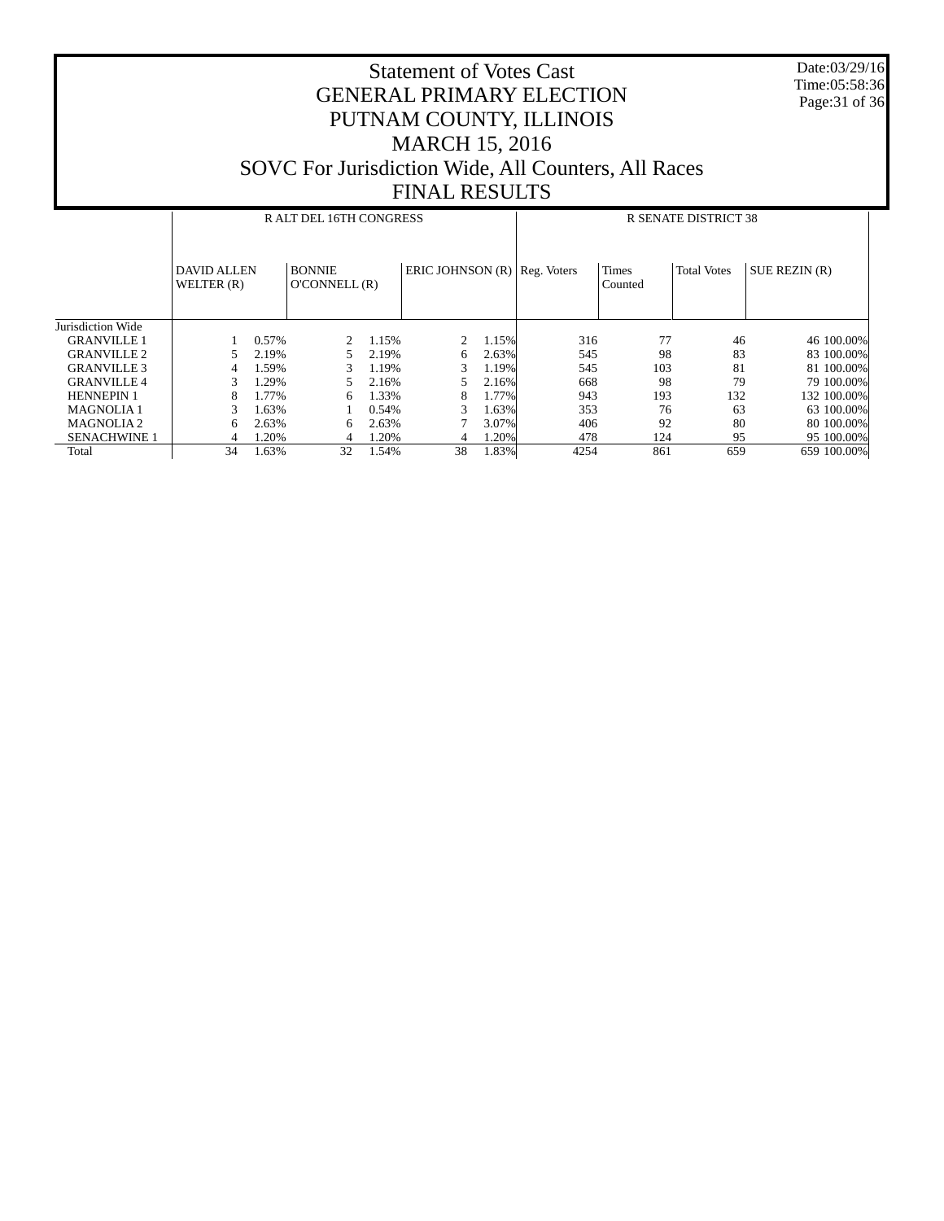Date:03/29/16 Time:05:58:36 Page:31 of 36

|                       |                                  |       | R ALT DEL 16TH CONGRESS       |       |                                |       | <b>R SENATE DISTRICT 38</b> |                  |                    |                      |  |
|-----------------------|----------------------------------|-------|-------------------------------|-------|--------------------------------|-------|-----------------------------|------------------|--------------------|----------------------|--|
|                       | <b>DAVID ALLEN</b><br>WELTER (R) |       | <b>BONNIE</b><br>O'CONNELL(R) |       | ERIC JOHNSON $(R)$ Reg. Voters |       |                             | Times<br>Counted | <b>Total Votes</b> | <b>SUE REZIN (R)</b> |  |
| Jurisdiction Wide     |                                  |       |                               |       |                                |       |                             |                  |                    |                      |  |
| <b>GRANVILLE 1</b>    |                                  | 0.57% | 2                             | 1.15% | 2                              | 1.15% | 316                         | 77               | 46                 | 46 100,00%           |  |
| <b>GRANVILLE 2</b>    |                                  | 2.19% | 5.                            | 2.19% | 6                              | 2.63% | 545                         | 98               | 83                 | 83 100,00%           |  |
| <b>GRANVILLE 3</b>    | 4                                | 1.59% | 3                             | 1.19% | 3                              | 1.19% | 545                         | 103              | 81                 | 81 100,00%           |  |
| <b>GRANVILLE 4</b>    | 3                                | 1.29% | 5.                            | 2.16% |                                | 2.16% | 668                         | 98               | 79                 | 79 100,00%           |  |
| <b>HENNEPIN 1</b>     | 8                                | .77%  | 6.                            | 1.33% | 8                              | 1.77% | 943                         | 193              | 132                | 132 100.00%          |  |
| <b>MAGNOLIA1</b>      | 3                                | 1.63% |                               | 0.54% | 3                              | 1.63% | 353                         | 76               | 63                 | 63 100,00%           |  |
| MAGNOLIA <sub>2</sub> | 6                                | 2.63% | 6                             | 2.63% |                                | 3.07% | 406                         | 92               | 80                 | 80 100,00%           |  |
| <b>SENACHWINE 1</b>   | 4                                | 1.20% | 4                             | 1.20% | 4                              | 1.20% | 478                         | 124              | 95                 | 95 100.00%           |  |
| Total                 | 34                               | 1.63% | 32                            | 1.54% | 38                             | 1.83% | 4254                        | 861              | 659                | 659 100.00%          |  |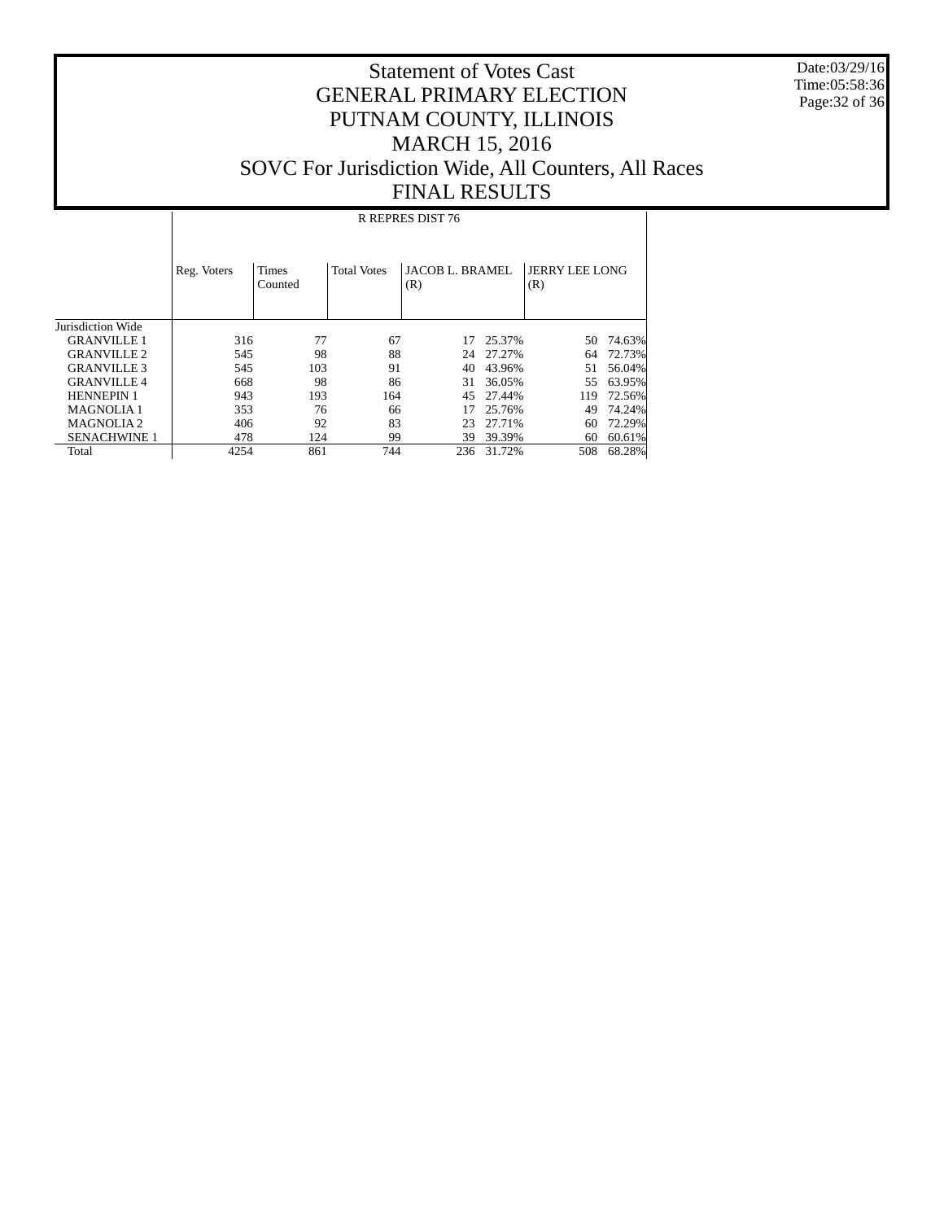Date:03/29/16 Time:05:58:36 Page:32 of 36

#### Statement of Votes Cast GENERAL PRIMARY ELECTION PUTNAM COUNTY, ILLINOIS MARCH 15, 2016 SOVC For Jurisdiction Wide, All Counters, All Races FINAL RESULTS

 Jurisdiction Wide GRANVILLE 1 GRANVILLE 2 GRANVILLE 3 GRANVILLE 4 HENNEPIN 1 MAGNOLIA 1 MAGNOLIA 2 SENACHWINE 1 Total Reg. Voters | Times Counted Total Votes | JACOB L. BRAMEL (R) JERRY LEE LONG (R) R REPRES DIST 76 316 77 67 17 25.37% 50 74.63%<br>545 98 88 24 27.27% 64 72.73% 545 98 88 24 27.27% 64 72.73% 545 103 91 40 43.96% 51 56.04% 668 98 86 31 36.05% 55 63.95% 943 193 164 45 27.44% 119 72.56% 353 76 66 17 25.76% 49 74.24%<br>406 92 83 23 27.71% 60 72.29% 406 92 83 23 27.71% 60 72.29%<br>478 124 99 39 39.39% 60 60.61% 478 124 99 39.39% 60.61%<br>4254 861 744 236 31.72% 508 68.28% 236 31.72%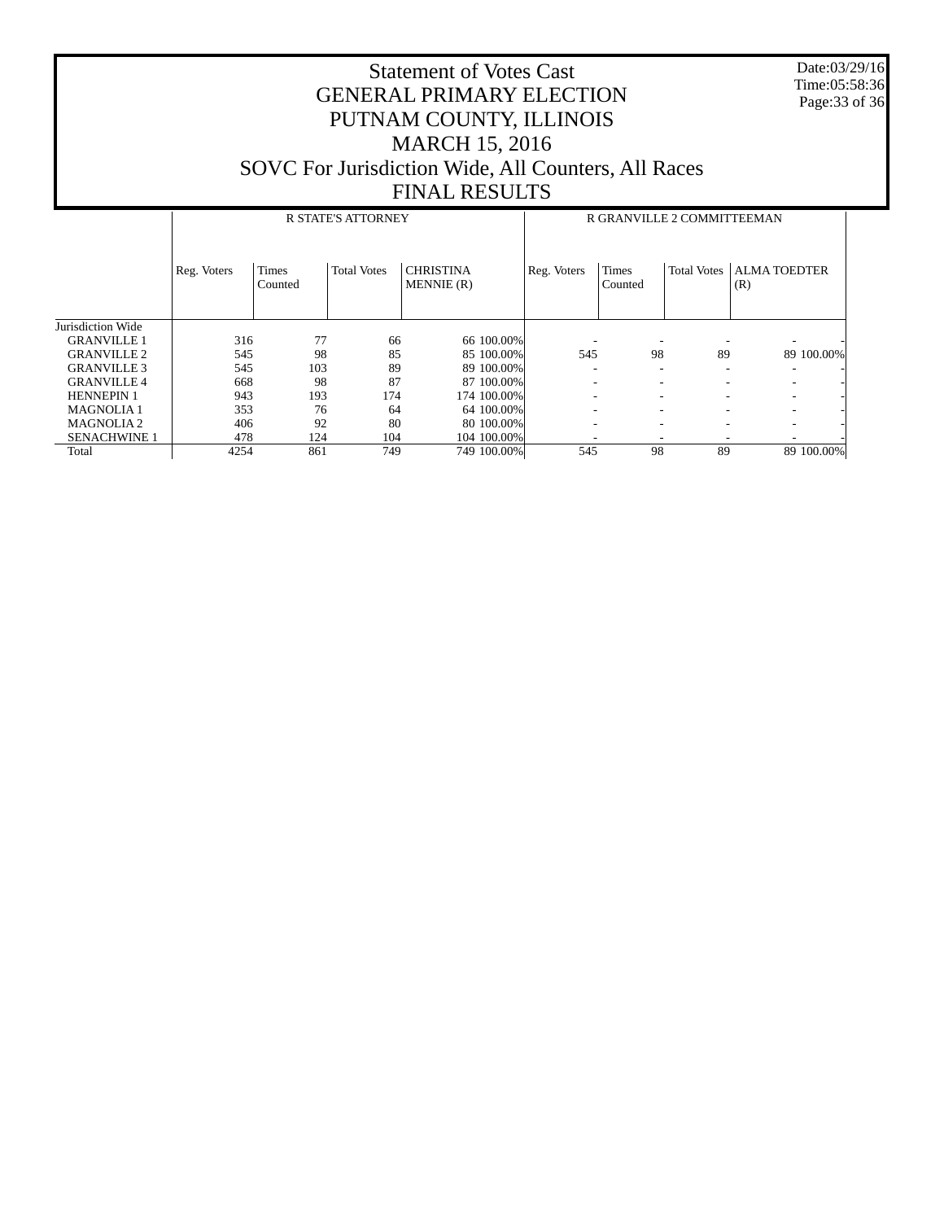Date:03/29/16 Time:05:58:36 Page:33 of 36

|                     |             |                  | <b>R STATE'S ATTORNEY</b> |                               | R GRANVILLE 2 COMMITTEEMAN |                         |                    |                            |  |  |
|---------------------|-------------|------------------|---------------------------|-------------------------------|----------------------------|-------------------------|--------------------|----------------------------|--|--|
|                     | Reg. Voters | Times<br>Counted | <b>Total Votes</b>        | <b>CHRISTINA</b><br>MENNIE(R) | Reg. Voters                | <b>Times</b><br>Counted | <b>Total Votes</b> | <b>ALMA TOEDTER</b><br>(R) |  |  |
| Jurisdiction Wide   |             |                  |                           |                               |                            |                         |                    |                            |  |  |
| <b>GRANVILLE 1</b>  | 316         | 77               | 66                        | 66 100,00%                    | -                          |                         |                    |                            |  |  |
| <b>GRANVILLE 2</b>  | 545         | 98               | 85                        | 85 100,00%                    | 545                        | 98                      | 89                 | 89 100.00%                 |  |  |
| <b>GRANVILLE 3</b>  | 545         | 103              | 89                        | 89 100,00%                    | ۰                          | -                       |                    |                            |  |  |
| <b>GRANVILLE 4</b>  | 668         | 98               | 87                        | 87 100,00%                    | ۰                          |                         |                    | ۰                          |  |  |
| <b>HENNEPIN 1</b>   | 943         | 193              | 174                       | 174 100.00%                   | ٠                          |                         |                    | ۰.                         |  |  |
| <b>MAGNOLIA1</b>    | 353         | 76               | 64                        | 64 100,00%                    | ۰                          |                         |                    |                            |  |  |
| <b>MAGNOLIA2</b>    | 406         | 92               | 80                        | 80 100,00%                    | ۰                          |                         |                    |                            |  |  |
| <b>SENACHWINE 1</b> | 478         | 124              | 104                       | 104 100,00%                   |                            |                         |                    |                            |  |  |
| Total               | 4254        | 861              | 749                       | 749 100.00%                   | 545                        | 98                      | 89                 | 89 100.00%                 |  |  |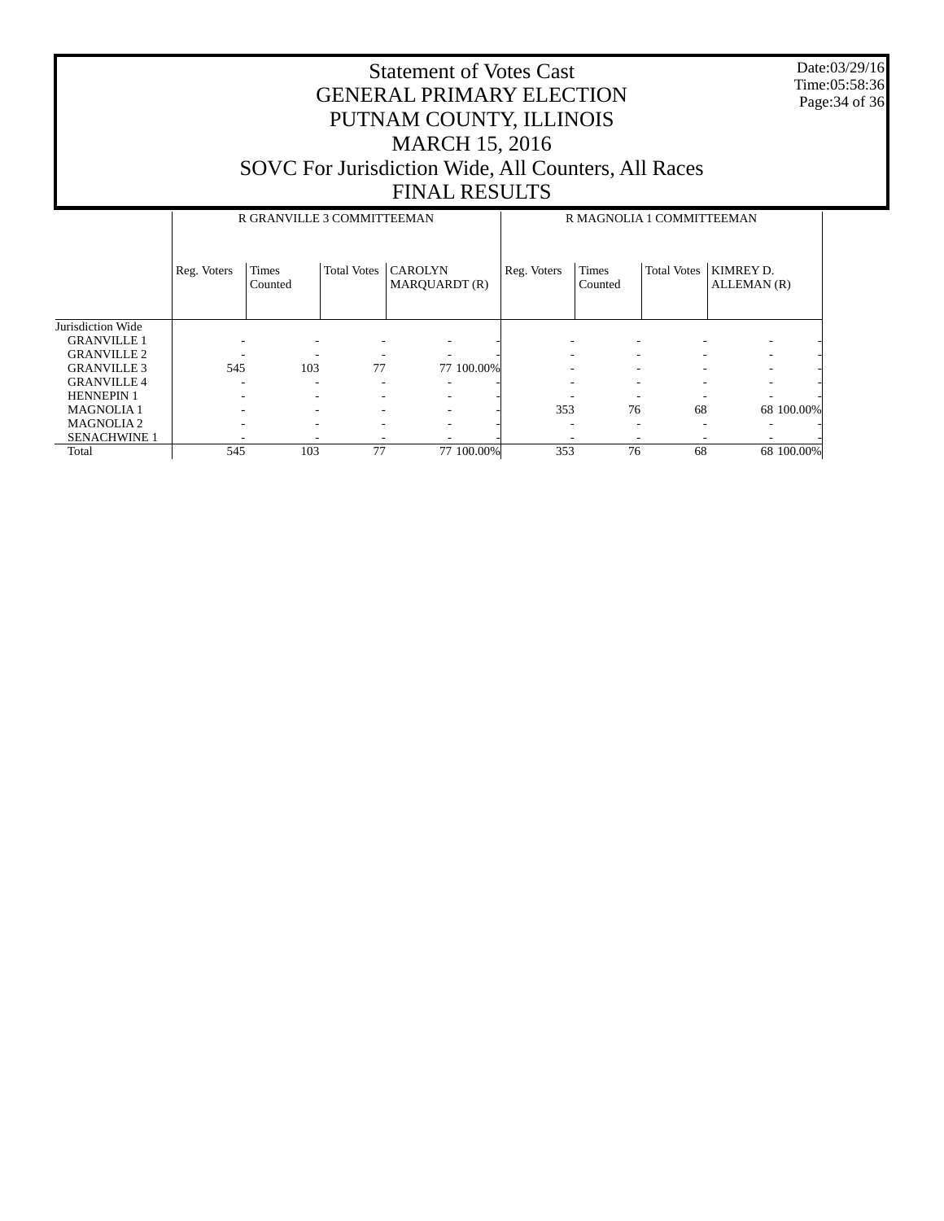Date:03/29/16 Time:05:58:36 Page:34 of 36

|                     |             | R GRANVILLE 3 COMMITTEEMAN |                    |                                 | R MAGNOLIA 1 COMMITTEEMAN |                         |                    |                          |  |  |
|---------------------|-------------|----------------------------|--------------------|---------------------------------|---------------------------|-------------------------|--------------------|--------------------------|--|--|
|                     | Reg. Voters | <b>Times</b><br>Counted    | <b>Total Votes</b> | <b>CAROLYN</b><br>MAROUARDT (R) | Reg. Voters               | <b>Times</b><br>Counted | <b>Total Votes</b> | KIMREY D.<br>ALLEMAN (R) |  |  |
| Jurisdiction Wide   |             |                            |                    |                                 |                           |                         |                    |                          |  |  |
| <b>GRANVILLE 1</b>  |             |                            |                    |                                 |                           |                         |                    |                          |  |  |
| <b>GRANVILLE 2</b>  |             |                            |                    |                                 |                           |                         |                    |                          |  |  |
| <b>GRANVILLE 3</b>  | 545         | 103                        | 77                 | 77 100,00%                      |                           |                         |                    |                          |  |  |
| <b>GRANVILLE 4</b>  | -           | ٠                          |                    |                                 |                           |                         |                    |                          |  |  |
| <b>HENNEPIN 1</b>   |             | ٠                          |                    |                                 |                           |                         |                    |                          |  |  |
| <b>MAGNOLIA1</b>    | -           | -                          |                    | ۰                               | 353                       | 76                      | 68                 | 68 100,00%               |  |  |
| <b>MAGNOLIA2</b>    | -           | ۰                          |                    | ۰                               |                           |                         | ۰                  |                          |  |  |
| <b>SENACHWINE 1</b> |             |                            |                    |                                 |                           |                         |                    |                          |  |  |
| Total               | 545         | 103                        | 77                 | 77 100.00%                      | 353                       | 76                      | 68                 | 68 100.00%               |  |  |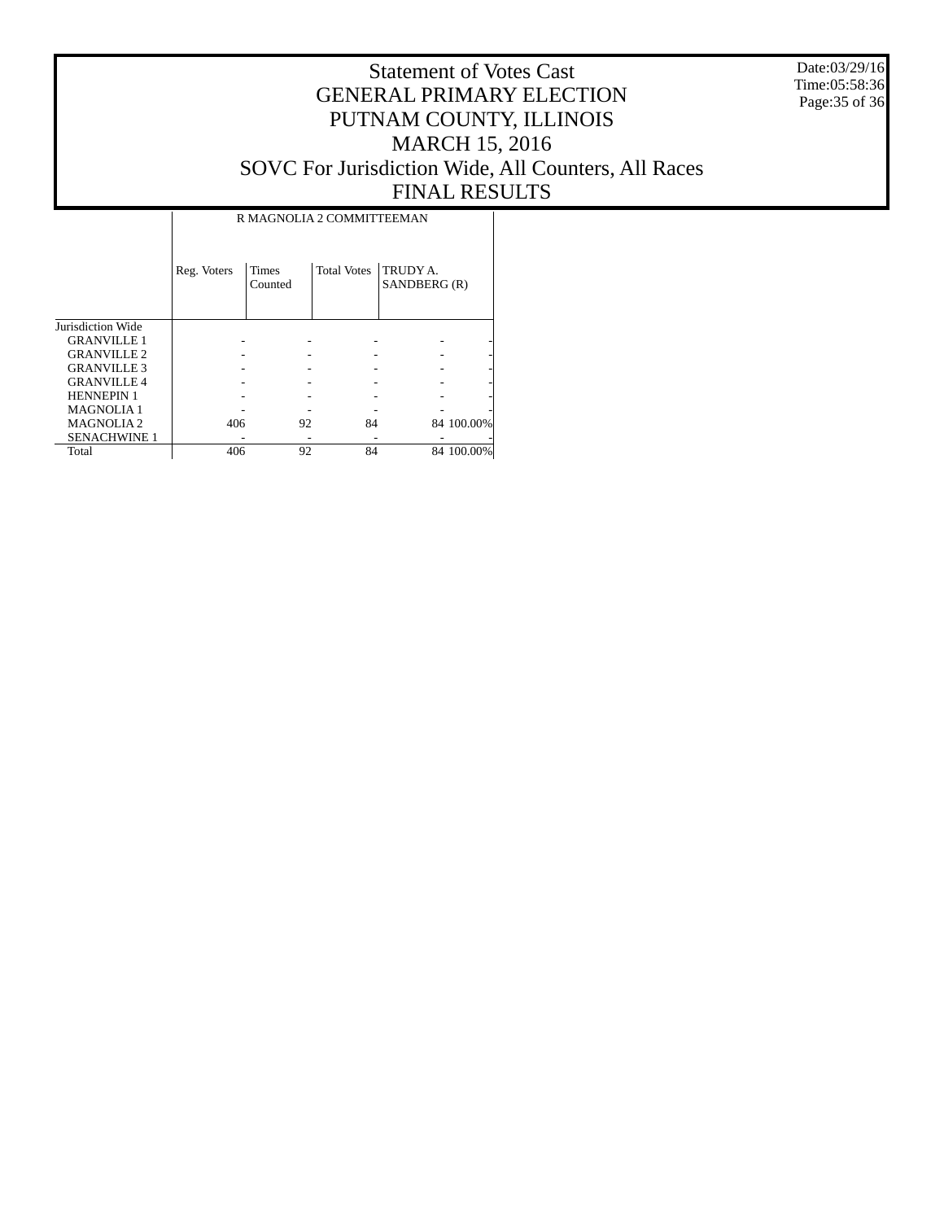Date:03/29/16 Time:05:58:36 Page:35 of 36

#### Statement of Votes Cast GENERAL PRIMARY ELECTION PUTNAM COUNTY, ILLINOIS MARCH 15, 2016 SOVC For Jurisdiction Wide, All Counters, All Races FINAL RESULTS

T

|                     | R MAGNOLIA 2 COMMITTEEMAN |                         |                    |                          |            |  |  |  |  |  |
|---------------------|---------------------------|-------------------------|--------------------|--------------------------|------------|--|--|--|--|--|
|                     | Reg. Voters               | <b>Times</b><br>Counted | <b>Total Votes</b> | TRUDY A.<br>SANDBERG (R) |            |  |  |  |  |  |
| Jurisdiction Wide   |                           |                         |                    |                          |            |  |  |  |  |  |
| <b>GRANVILLE 1</b>  |                           |                         |                    |                          |            |  |  |  |  |  |
| <b>GRANVILLE 2</b>  |                           |                         |                    |                          |            |  |  |  |  |  |
| <b>GRANVILLE 3</b>  |                           |                         |                    |                          |            |  |  |  |  |  |
| <b>GRANVILLE 4</b>  |                           |                         |                    |                          |            |  |  |  |  |  |
| <b>HENNEPIN 1</b>   |                           |                         |                    |                          |            |  |  |  |  |  |
| <b>MAGNOLIA1</b>    |                           |                         |                    |                          |            |  |  |  |  |  |
| <b>MAGNOLIA2</b>    | 406                       | 92                      | 84                 |                          | 84 100.00% |  |  |  |  |  |
| <b>SENACHWINE 1</b> |                           |                         |                    |                          |            |  |  |  |  |  |
| Total               | 406                       | 92                      | 84                 |                          | 84 100.00% |  |  |  |  |  |